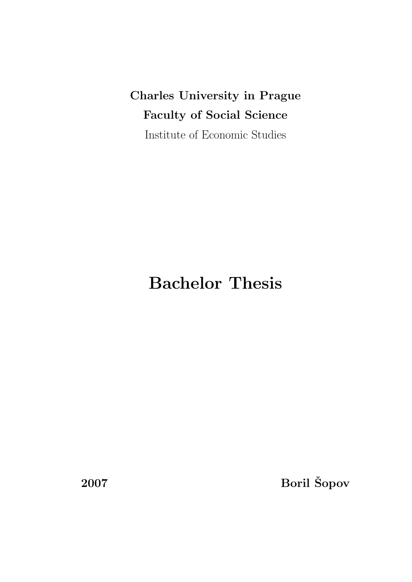Charles University in Prague Faculty of Social Science Institute of Economic Studies

# Bachelor Thesis

2007 Boril Šopov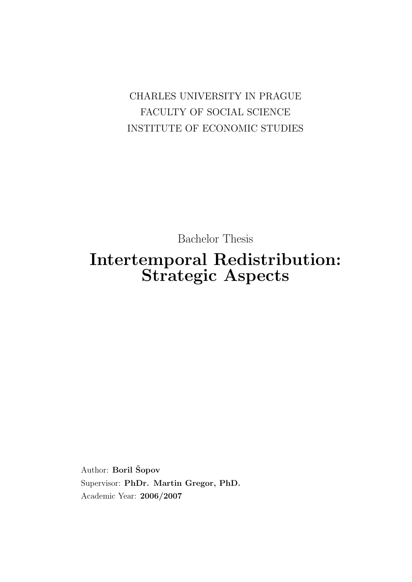CHARLES UNIVERSITY IN PRAGUE FACULTY OF SOCIAL SCIENCE INSTITUTE OF ECONOMIC STUDIES

Bachelor Thesis

## Intertemporal Redistribution: Strategic Aspects

Author: Boril Šopov Supervisor: PhDr. Martin Gregor, PhD. Academic Year: 2006/2007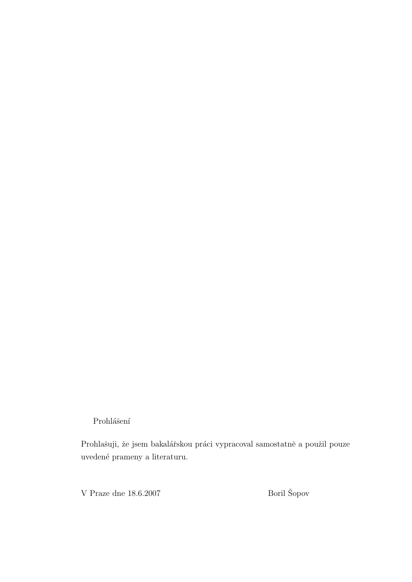Prohlášení

Prohlašuji, že jsem bakalářskou práci vypracoval samostatně a použil pouze uveden´e prameny a literaturu.

V Praze dne 18.6.2007  $\hfill$  Boril Šopov  $\hfill$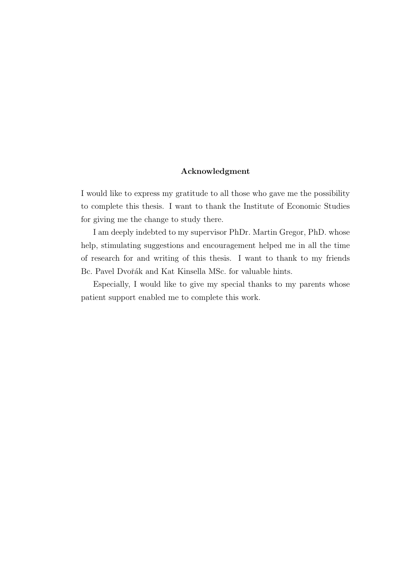#### Acknowledgment

I would like to express my gratitude to all those who gave me the possibility to complete this thesis. I want to thank the Institute of Economic Studies for giving me the change to study there.

I am deeply indebted to my supervisor PhDr. Martin Gregor, PhD. whose help, stimulating suggestions and encouragement helped me in all the time of research for and writing of this thesis. I want to thank to my friends Bc. Pavel Dvořák and Kat Kinsella MSc. for valuable hints.

Especially, I would like to give my special thanks to my parents whose patient support enabled me to complete this work.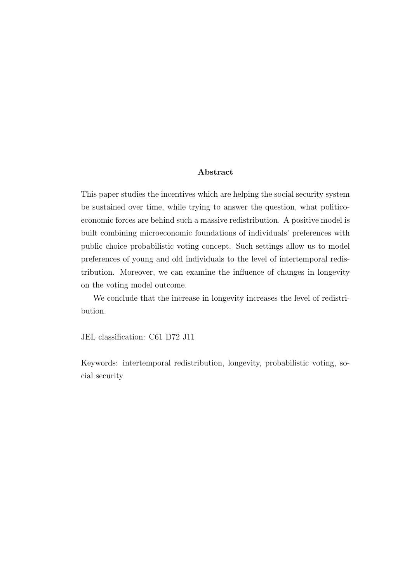#### Abstract

This paper studies the incentives which are helping the social security system be sustained over time, while trying to answer the question, what politicoeconomic forces are behind such a massive redistribution. A positive model is built combining microeconomic foundations of individuals' preferences with public choice probabilistic voting concept. Such settings allow us to model preferences of young and old individuals to the level of intertemporal redistribution. Moreover, we can examine the influence of changes in longevity on the voting model outcome.

We conclude that the increase in longevity increases the level of redistribution.

JEL classification: C61 D72 J11

Keywords: intertemporal redistribution, longevity, probabilistic voting, social security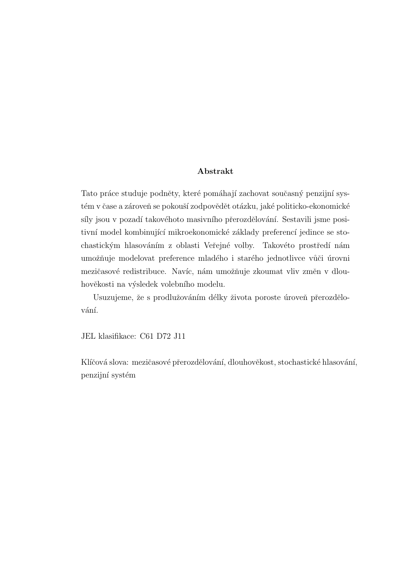#### Abstrakt

Tato práce studuje podněty, které pomáhají zachovat současný penzijní systém v čase a zároveň se pokouší zodpovědět otázku, jaké politicko-ekonomické síly jsou v pozadí takovéhoto masivního přerozdělování. Sestavili jsme positivní model kombinující mikroekonomické základy preferencí jedince se stochastickým hlasováním z oblasti Veřejné volby. Takovéto prostředí nám umožňuje modelovat preference mladého i starého jednotlivce vůči úrovni mezičasové redistribuce. Navíc, nám umožňuje zkoumat vliv změn v dlouhověkosti na výsledek volebního modelu.

Usuzujeme, že s prodlužováním délky života poroste úroveň přerozdělování.

JEL klasifikace: C61 D72 J11

Klíčová slova: mezičasové přerozdělování, dlouhověkost, stochastické hlasování, penzijní systém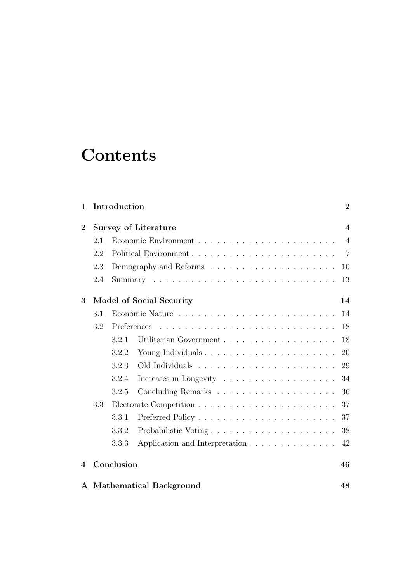# **Contents**

| 1                        |                                 | Introduction<br>$\overline{2}$ |                                                              |                         |  |
|--------------------------|---------------------------------|--------------------------------|--------------------------------------------------------------|-------------------------|--|
| $\bf{2}$                 |                                 |                                | <b>Survey of Literature</b>                                  | $\overline{\mathbf{4}}$ |  |
|                          | 2.1                             |                                |                                                              | $\overline{4}$          |  |
|                          | 2.2                             |                                |                                                              | $\overline{7}$          |  |
|                          | 2.3                             |                                |                                                              |                         |  |
|                          | 2.4                             |                                |                                                              | 13                      |  |
| 3                        | <b>Model of Social Security</b> |                                |                                                              |                         |  |
|                          | 3.1                             |                                |                                                              | 14                      |  |
|                          | 3.2                             | Preferences                    |                                                              | 18                      |  |
|                          |                                 | 3.2.1                          |                                                              | 18                      |  |
|                          |                                 | 3.2.2                          | Young Individuals                                            | 20                      |  |
|                          |                                 | 3.2.3                          |                                                              | 29                      |  |
|                          |                                 | 3.2.4                          | Increases in Longevity $\dots \dots \dots \dots \dots \dots$ | 34                      |  |
|                          |                                 | 3.2.5                          |                                                              | 36                      |  |
|                          | 3.3                             |                                |                                                              | 37                      |  |
|                          |                                 | 3.3.1                          |                                                              | 37                      |  |
|                          |                                 | 3.3.2                          | Probabilistic Voting                                         | 38                      |  |
|                          |                                 | 3.3.3                          | Application and Interpretation                               | 42                      |  |
| $\overline{\mathcal{A}}$ |                                 | Conclusion                     |                                                              | 46                      |  |
|                          |                                 |                                | A Mathematical Background                                    | 48                      |  |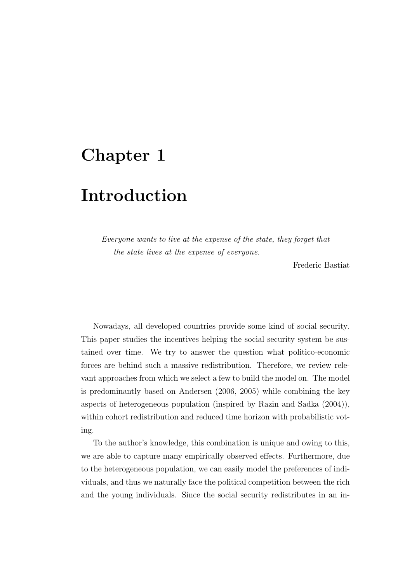## Chapter 1

## Introduction

Everyone wants to live at the expense of the state, they forget that the state lives at the expense of everyone.

Frederic Bastiat

Nowadays, all developed countries provide some kind of social security. This paper studies the incentives helping the social security system be sustained over time. We try to answer the question what politico-economic forces are behind such a massive redistribution. Therefore, we review relevant approaches from which we select a few to build the model on. The model is predominantly based on Andersen (2006, 2005) while combining the key aspects of heterogeneous population (inspired by Razin and Sadka (2004)), within cohort redistribution and reduced time horizon with probabilistic voting.

To the author's knowledge, this combination is unique and owing to this, we are able to capture many empirically observed effects. Furthermore, due to the heterogeneous population, we can easily model the preferences of individuals, and thus we naturally face the political competition between the rich and the young individuals. Since the social security redistributes in an in-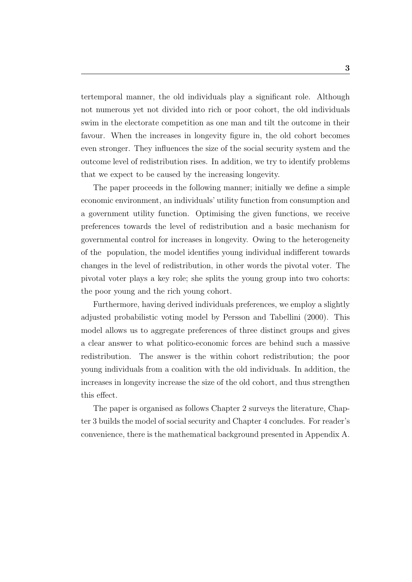tertemporal manner, the old individuals play a significant role. Although not numerous yet not divided into rich or poor cohort, the old individuals swim in the electorate competition as one man and tilt the outcome in their favour. When the increases in longevity figure in, the old cohort becomes even stronger. They influences the size of the social security system and the outcome level of redistribution rises. In addition, we try to identify problems that we expect to be caused by the increasing longevity.

The paper proceeds in the following manner; initially we define a simple economic environment, an individuals' utility function from consumption and a government utility function. Optimising the given functions, we receive preferences towards the level of redistribution and a basic mechanism for governmental control for increases in longevity. Owing to the heterogeneity of the population, the model identifies young individual indifferent towards changes in the level of redistribution, in other words the pivotal voter. The pivotal voter plays a key role; she splits the young group into two cohorts: the poor young and the rich young cohort.

Furthermore, having derived individuals preferences, we employ a slightly adjusted probabilistic voting model by Persson and Tabellini (2000). This model allows us to aggregate preferences of three distinct groups and gives a clear answer to what politico-economic forces are behind such a massive redistribution. The answer is the within cohort redistribution; the poor young individuals from a coalition with the old individuals. In addition, the increases in longevity increase the size of the old cohort, and thus strengthen this effect.

The paper is organised as follows Chapter 2 surveys the literature, Chapter 3 builds the model of social security and Chapter 4 concludes. For reader's convenience, there is the mathematical background presented in Appendix A.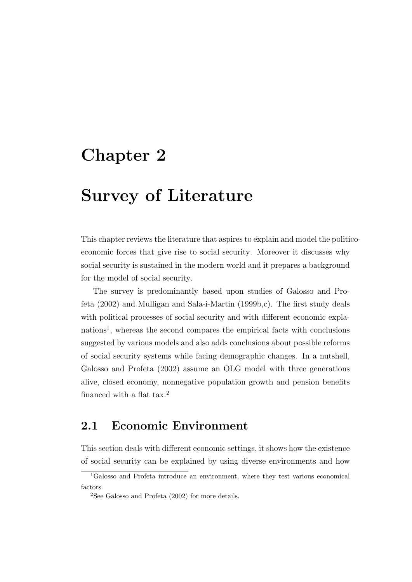## Chapter 2

## Survey of Literature

This chapter reviews the literature that aspires to explain and model the politicoeconomic forces that give rise to social security. Moreover it discusses why social security is sustained in the modern world and it prepares a background for the model of social security.

The survey is predominantly based upon studies of Galosso and Profeta (2002) and Mulligan and Sala-i-Martin (1999b,c). The first study deals with political processes of social security and with different economic explanations<sup>1</sup>, whereas the second compares the empirical facts with conclusions suggested by various models and also adds conclusions about possible reforms of social security systems while facing demographic changes. In a nutshell, Galosso and Profeta (2002) assume an OLG model with three generations alive, closed economy, nonnegative population growth and pension benefits financed with a flat tax. $2$ 

### 2.1 Economic Environment

This section deals with different economic settings, it shows how the existence of social security can be explained by using diverse environments and how

<sup>1</sup>Galosso and Profeta introduce an environment, where they test various economical factors.

 $2$ See Galosso and Profeta (2002) for more details.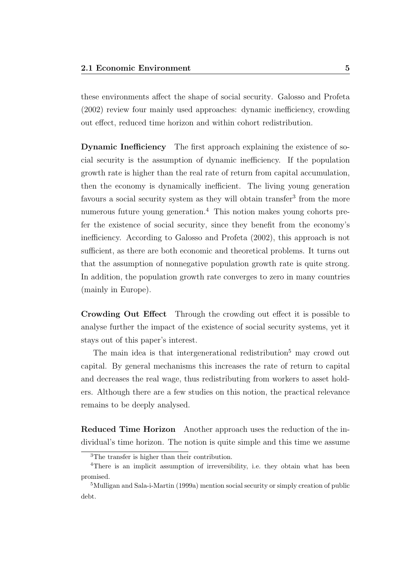these environments affect the shape of social security. Galosso and Profeta (2002) review four mainly used approaches: dynamic inefficiency, crowding out effect, reduced time horizon and within cohort redistribution.

Dynamic Inefficiency The first approach explaining the existence of social security is the assumption of dynamic inefficiency. If the population growth rate is higher than the real rate of return from capital accumulation, then the economy is dynamically inefficient. The living young generation favours a social security system as they will obtain transfer<sup>3</sup> from the more numerous future young generation.<sup>4</sup> This notion makes young cohorts prefer the existence of social security, since they benefit from the economy's inefficiency. According to Galosso and Profeta (2002), this approach is not sufficient, as there are both economic and theoretical problems. It turns out that the assumption of nonnegative population growth rate is quite strong. In addition, the population growth rate converges to zero in many countries (mainly in Europe).

Crowding Out Effect Through the crowding out effect it is possible to analyse further the impact of the existence of social security systems, yet it stays out of this paper's interest.

The main idea is that intergenerational redistribution<sup>5</sup> may crowd out capital. By general mechanisms this increases the rate of return to capital and decreases the real wage, thus redistributing from workers to asset holders. Although there are a few studies on this notion, the practical relevance remains to be deeply analysed.

Reduced Time Horizon Another approach uses the reduction of the individual's time horizon. The notion is quite simple and this time we assume

<sup>3</sup>The transfer is higher than their contribution.

<sup>&</sup>lt;sup>4</sup>There is an implicit assumption of irreversibility, i.e. they obtain what has been promised.

<sup>5</sup>Mulligan and Sala-i-Martin (1999a) mention social security or simply creation of public debt.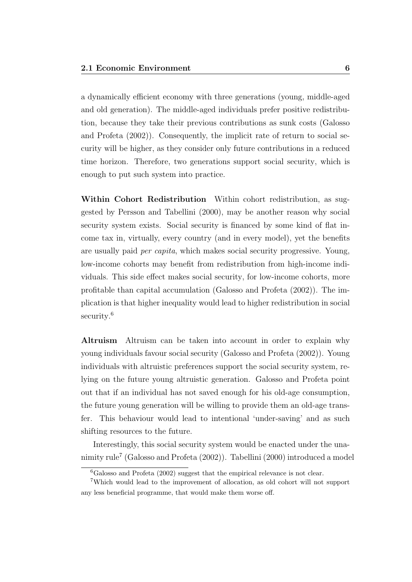a dynamically efficient economy with three generations (young, middle-aged and old generation). The middle-aged individuals prefer positive redistribution, because they take their previous contributions as sunk costs (Galosso and Profeta (2002)). Consequently, the implicit rate of return to social security will be higher, as they consider only future contributions in a reduced time horizon. Therefore, two generations support social security, which is enough to put such system into practice.

Within Cohort Redistribution Within cohort redistribution, as suggested by Persson and Tabellini (2000), may be another reason why social security system exists. Social security is financed by some kind of flat income tax in, virtually, every country (and in every model), yet the benefits are usually paid per capita, which makes social security progressive. Young, low-income cohorts may benefit from redistribution from high-income individuals. This side effect makes social security, for low-income cohorts, more profitable than capital accumulation (Galosso and Profeta (2002)). The implication is that higher inequality would lead to higher redistribution in social security.<sup>6</sup>

Altruism Altruism can be taken into account in order to explain why young individuals favour social security (Galosso and Profeta (2002)). Young individuals with altruistic preferences support the social security system, relying on the future young altruistic generation. Galosso and Profeta point out that if an individual has not saved enough for his old-age consumption, the future young generation will be willing to provide them an old-age transfer. This behaviour would lead to intentional 'under-saving' and as such shifting resources to the future.

Interestingly, this social security system would be enacted under the unanimity rule<sup>7</sup> (Galosso and Profeta (2002)). Tabellini (2000) introduced a model

 ${}^{6}$ Galosso and Profeta (2002) suggest that the empirical relevance is not clear.

<sup>7</sup>Which would lead to the improvement of allocation, as old cohort will not support any less beneficial programme, that would make them worse off.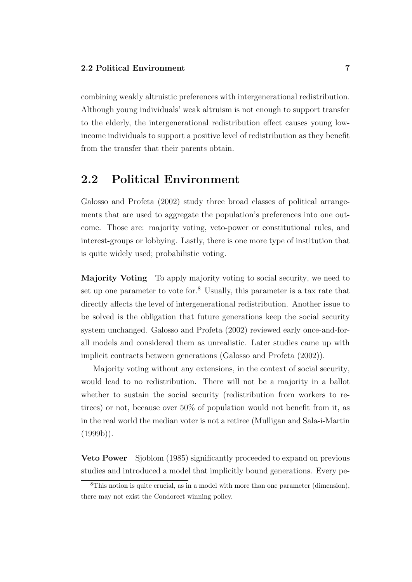combining weakly altruistic preferences with intergenerational redistribution. Although young individuals' weak altruism is not enough to support transfer to the elderly, the intergenerational redistribution effect causes young lowincome individuals to support a positive level of redistribution as they benefit from the transfer that their parents obtain.

### 2.2 Political Environment

Galosso and Profeta (2002) study three broad classes of political arrangements that are used to aggregate the population's preferences into one outcome. Those are: majority voting, veto-power or constitutional rules, and interest-groups or lobbying. Lastly, there is one more type of institution that is quite widely used; probabilistic voting.

Majority Voting To apply majority voting to social security, we need to set up one parameter to vote for.<sup>8</sup> Usually, this parameter is a tax rate that directly affects the level of intergenerational redistribution. Another issue to be solved is the obligation that future generations keep the social security system unchanged. Galosso and Profeta (2002) reviewed early once-and-forall models and considered them as unrealistic. Later studies came up with implicit contracts between generations (Galosso and Profeta (2002)).

Majority voting without any extensions, in the context of social security, would lead to no redistribution. There will not be a majority in a ballot whether to sustain the social security (redistribution from workers to retirees) or not, because over 50% of population would not benefit from it, as in the real world the median voter is not a retiree (Mulligan and Sala-i-Martin  $(1999b)$ .

Veto Power Sjoblom (1985) significantly proceeded to expand on previous studies and introduced a model that implicitly bound generations. Every pe-

<sup>8</sup>This notion is quite crucial, as in a model with more than one parameter (dimension), there may not exist the Condorcet winning policy.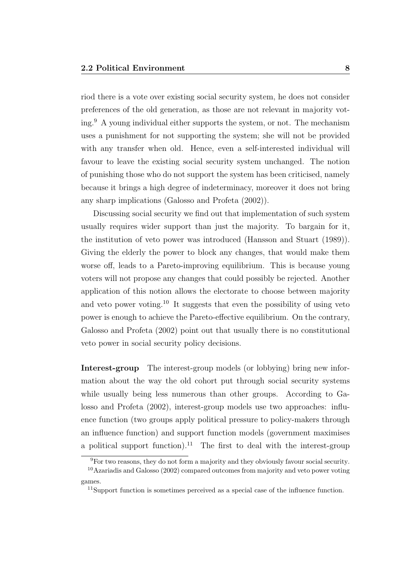riod there is a vote over existing social security system, he does not consider preferences of the old generation, as those are not relevant in majority voting.<sup>9</sup> A young individual either supports the system, or not. The mechanism uses a punishment for not supporting the system; she will not be provided with any transfer when old. Hence, even a self-interested individual will favour to leave the existing social security system unchanged. The notion of punishing those who do not support the system has been criticised, namely because it brings a high degree of indeterminacy, moreover it does not bring any sharp implications (Galosso and Profeta (2002)).

Discussing social security we find out that implementation of such system usually requires wider support than just the majority. To bargain for it, the institution of veto power was introduced (Hansson and Stuart (1989)). Giving the elderly the power to block any changes, that would make them worse off, leads to a Pareto-improving equilibrium. This is because young voters will not propose any changes that could possibly be rejected. Another application of this notion allows the electorate to choose between majority and veto power voting.<sup>10</sup> It suggests that even the possibility of using veto power is enough to achieve the Pareto-effective equilibrium. On the contrary, Galosso and Profeta (2002) point out that usually there is no constitutional veto power in social security policy decisions.

Interest-group The interest-group models (or lobbying) bring new information about the way the old cohort put through social security systems while usually being less numerous than other groups. According to Galosso and Profeta (2002), interest-group models use two approaches: influence function (two groups apply political pressure to policy-makers through an influence function) and support function models (government maximises a political support function).<sup>11</sup> The first to deal with the interest-group

 ${}^{9}$ For two reasons, they do not form a majority and they obviously favour social security.

<sup>10</sup>Azariadis and Galosso (2002) compared outcomes from majority and veto power voting games.

<sup>&</sup>lt;sup>11</sup>Support function is sometimes perceived as a special case of the influence function.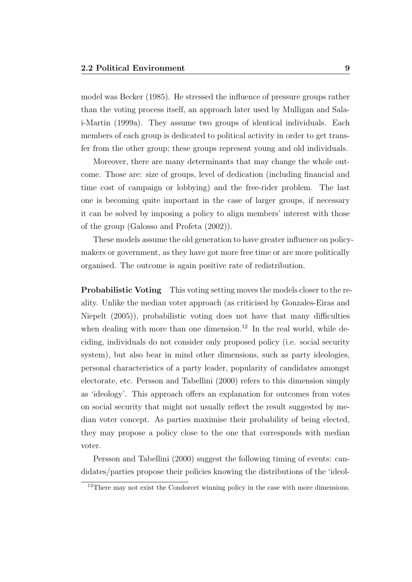model was Becker (1985). He stressed the influence of pressure groups rather than the voting process itself, an approach later used by Mulligan and Salai-Martin (1999a). They assume two groups of identical individuals. Each members of each group is dedicated to political activity in order to get transfer from the other group; these groups represent young and old individuals.

Moreover, there are many determinants that may change the whole outcome. Those are: size of groups, level of dedication (including financial and time cost of campaign or lobbying) and the free-rider problem. The last one is becoming quite important in the case of larger groups, if necessary it can be solved by imposing a policy to align members' interest with those of the group (Galosso and Profeta (2002)).

These models assume the old generation to have greater influence on policymakers or government, as they have got more free time or are more politically organised. The outcome is again positive rate of redistribution.

**Probabilistic Voting** This voting setting moves the models closer to the reality. Unlike the median voter approach (as criticised by Gonzales-Eiras and Niepelt (2005)), probabilistic voting does not have that many difficulties when dealing with more than one dimension.<sup>12</sup> In the real world, while deciding, individuals do not consider only proposed policy (i.e. social security system), but also bear in mind other dimensions, such as party ideologies, personal characteristics of a party leader, popularity of candidates amongst electorate, etc. Persson and Tabellini (2000) refers to this dimension simply as 'ideology'. This approach offers an explanation for outcomes from votes on social security that might not usually reflect the result suggested by median voter concept. As parties maximise their probability of being elected, they may propose a policy close to the one that corresponds with median voter.

Persson and Tabellini (2000) suggest the following timing of events: candidates/parties propose their policies knowing the distributions of the 'ideol-

<sup>&</sup>lt;sup>12</sup>There may not exist the Condorcet winning policy in the case with more dimensions.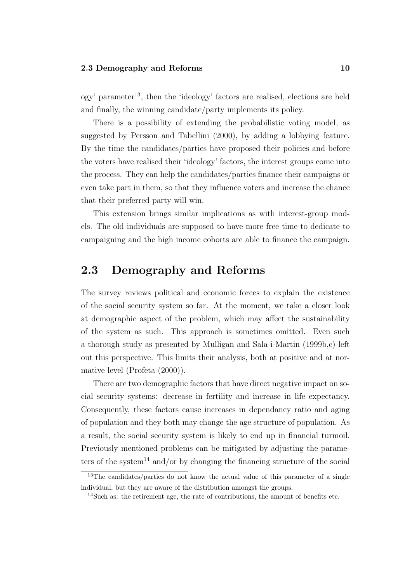ogy' parameter<sup>13</sup>, then the 'ideology' factors are realised, elections are held and finally, the winning candidate/party implements its policy.

There is a possibility of extending the probabilistic voting model, as suggested by Persson and Tabellini (2000), by adding a lobbying feature. By the time the candidates/parties have proposed their policies and before the voters have realised their 'ideology' factors, the interest groups come into the process. They can help the candidates/parties finance their campaigns or even take part in them, so that they influence voters and increase the chance that their preferred party will win.

This extension brings similar implications as with interest-group models. The old individuals are supposed to have more free time to dedicate to campaigning and the high income cohorts are able to finance the campaign.

### 2.3 Demography and Reforms

The survey reviews political and economic forces to explain the existence of the social security system so far. At the moment, we take a closer look at demographic aspect of the problem, which may affect the sustainability of the system as such. This approach is sometimes omitted. Even such a thorough study as presented by Mulligan and Sala-i-Martin (1999b,c) left out this perspective. This limits their analysis, both at positive and at normative level (Profeta (2000)).

There are two demographic factors that have direct negative impact on social security systems: decrease in fertility and increase in life expectancy. Consequently, these factors cause increases in dependancy ratio and aging of population and they both may change the age structure of population. As a result, the social security system is likely to end up in financial turmoil. Previously mentioned problems can be mitigated by adjusting the parameters of the system<sup>14</sup> and/or by changing the financing structure of the social

<sup>&</sup>lt;sup>13</sup>The candidates/parties do not know the actual value of this parameter of a single individual, but they are aware of the distribution amongst the groups.

<sup>&</sup>lt;sup>14</sup>Such as: the retirement age, the rate of contributions, the amount of benefits etc.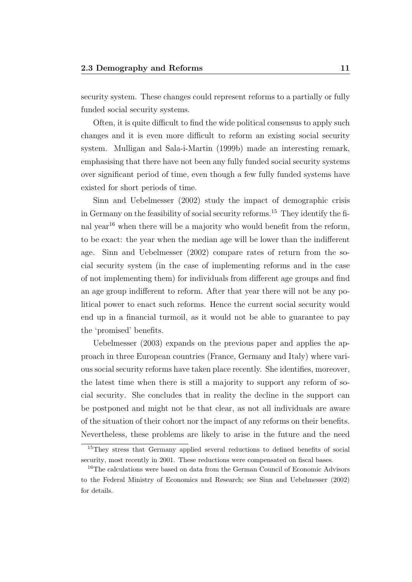security system. These changes could represent reforms to a partially or fully funded social security systems.

Often, it is quite difficult to find the wide political consensus to apply such changes and it is even more difficult to reform an existing social security system. Mulligan and Sala-i-Martin (1999b) made an interesting remark, emphasising that there have not been any fully funded social security systems over significant period of time, even though a few fully funded systems have existed for short periods of time.

Sinn and Uebelmesser (2002) study the impact of demographic crisis in Germany on the feasibility of social security reforms.<sup>15</sup> They identify the final year<sup>16</sup> when there will be a majority who would benefit from the reform, to be exact: the year when the median age will be lower than the indifferent age. Sinn and Uebelmesser (2002) compare rates of return from the social security system (in the case of implementing reforms and in the case of not implementing them) for individuals from different age groups and find an age group indifferent to reform. After that year there will not be any political power to enact such reforms. Hence the current social security would end up in a financial turmoil, as it would not be able to guarantee to pay the 'promised' benefits.

Uebelmesser (2003) expands on the previous paper and applies the approach in three European countries (France, Germany and Italy) where various social security reforms have taken place recently. She identifies, moreover, the latest time when there is still a majority to support any reform of social security. She concludes that in reality the decline in the support can be postponed and might not be that clear, as not all individuals are aware of the situation of their cohort nor the impact of any reforms on their benefits. Nevertheless, these problems are likely to arise in the future and the need

<sup>15</sup>They stress that Germany applied several reductions to defined benefits of social security, most recently in 2001. These reductions were compensated on fiscal bases.

<sup>16</sup>The calculations were based on data from the German Council of Economic Advisors to the Federal Ministry of Economics and Research; see Sinn and Uebelmesser (2002) for details.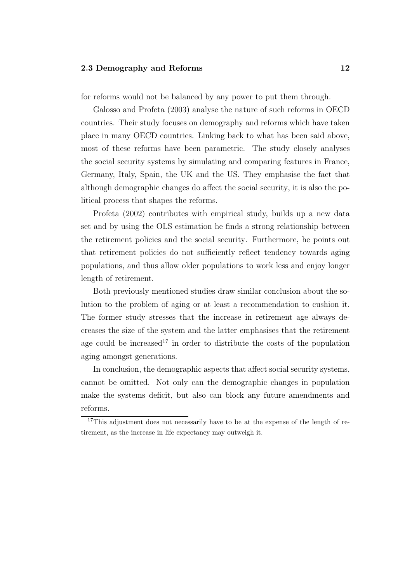for reforms would not be balanced by any power to put them through.

Galosso and Profeta (2003) analyse the nature of such reforms in OECD countries. Their study focuses on demography and reforms which have taken place in many OECD countries. Linking back to what has been said above, most of these reforms have been parametric. The study closely analyses the social security systems by simulating and comparing features in France, Germany, Italy, Spain, the UK and the US. They emphasise the fact that although demographic changes do affect the social security, it is also the political process that shapes the reforms.

Profeta (2002) contributes with empirical study, builds up a new data set and by using the OLS estimation he finds a strong relationship between the retirement policies and the social security. Furthermore, he points out that retirement policies do not sufficiently reflect tendency towards aging populations, and thus allow older populations to work less and enjoy longer length of retirement.

Both previously mentioned studies draw similar conclusion about the solution to the problem of aging or at least a recommendation to cushion it. The former study stresses that the increase in retirement age always decreases the size of the system and the latter emphasises that the retirement age could be increased<sup>17</sup> in order to distribute the costs of the population aging amongst generations.

In conclusion, the demographic aspects that affect social security systems, cannot be omitted. Not only can the demographic changes in population make the systems deficit, but also can block any future amendments and reforms.

<sup>&</sup>lt;sup>17</sup>This adjustment does not necessarily have to be at the expense of the length of retirement, as the increase in life expectancy may outweigh it.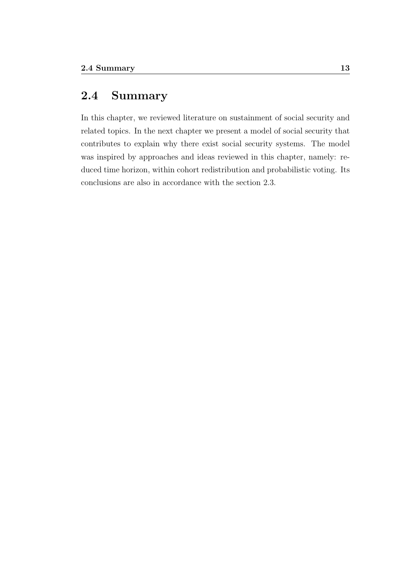### 2.4 Summary

In this chapter, we reviewed literature on sustainment of social security and related topics. In the next chapter we present a model of social security that contributes to explain why there exist social security systems. The model was inspired by approaches and ideas reviewed in this chapter, namely: reduced time horizon, within cohort redistribution and probabilistic voting. Its conclusions are also in accordance with the section 2.3.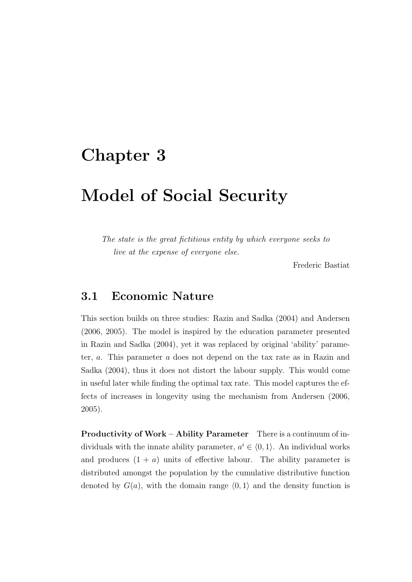## Chapter 3

## Model of Social Security

The state is the great fictitious entity by which everyone seeks to live at the expense of everyone else.

Frederic Bastiat

### 3.1 Economic Nature

This section builds on three studies: Razin and Sadka (2004) and Andersen (2006, 2005). The model is inspired by the education parameter presented in Razin and Sadka (2004), yet it was replaced by original 'ability' parameter, a. This parameter a does not depend on the tax rate as in Razin and Sadka (2004), thus it does not distort the labour supply. This would come in useful later while finding the optimal tax rate. This model captures the effects of increases in longevity using the mechanism from Andersen (2006, 2005).

Productivity of Work – Ability Parameter There is a continuum of individuals with the innate ability parameter,  $a^i \in (0, 1)$ . An individual works and produces  $(1 + a)$  units of effective labour. The ability parameter is distributed amongst the population by the cumulative distributive function denoted by  $G(a)$ , with the domain range  $(0, 1)$  and the density function is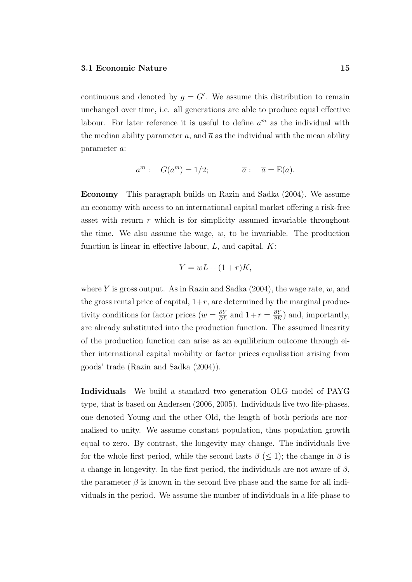continuous and denoted by  $g = G'$ . We assume this distribution to remain unchanged over time, i.e. all generations are able to produce equal effective labour. For later reference it is useful to define  $a^m$  as the individual with the median ability parameter a, and  $\bar{a}$  as the individual with the mean ability parameter a:

$$
a^m: G(a^m) = 1/2; \qquad \overline{a}: \overline{a} = \mathcal{E}(a).
$$

Economy This paragraph builds on Razin and Sadka (2004). We assume an economy with access to an international capital market offering a risk-free asset with return r which is for simplicity assumed invariable throughout the time. We also assume the wage,  $w$ , to be invariable. The production function is linear in effective labour,  $L$ , and capital,  $K$ :

$$
Y = wL + (1+r)K,
$$

where Y is gross output. As in Razin and Sadka  $(2004)$ , the wage rate, w, and the gross rental price of capital,  $1+r$ , are determined by the marginal productivity conditions for factor prices ( $w = \frac{\partial Y}{\partial L}$  and  $1 + r = \frac{\partial Y}{\partial K}$ ) and, importantly, are already substituted into the production function. The assumed linearity of the production function can arise as an equilibrium outcome through either international capital mobility or factor prices equalisation arising from goods' trade (Razin and Sadka (2004)).

Individuals We build a standard two generation OLG model of PAYG type, that is based on Andersen (2006, 2005). Individuals live two life-phases, one denoted Young and the other Old, the length of both periods are normalised to unity. We assume constant population, thus population growth equal to zero. By contrast, the longevity may change. The individuals live for the whole first period, while the second lasts  $\beta \leq 1$ ; the change in  $\beta$  is a change in longevity. In the first period, the individuals are not aware of  $\beta$ , the parameter  $\beta$  is known in the second live phase and the same for all individuals in the period. We assume the number of individuals in a life-phase to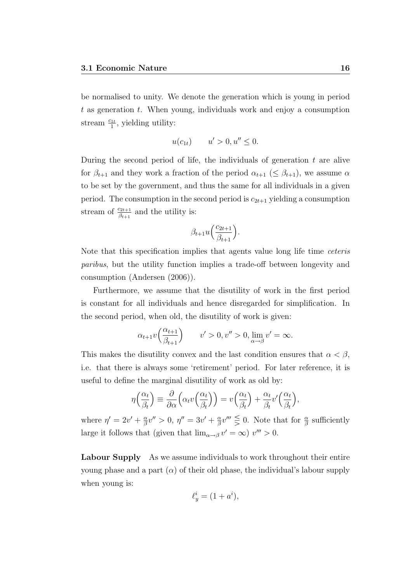be normalised to unity. We denote the generation which is young in period  $t$  as generation  $t$ . When young, individuals work and enjoy a consumption stream  $\frac{c_{1t}}{1}$ , yielding utility:

$$
u(c_{1t})
$$
  $u' > 0, u'' \le 0.$ 

During the second period of life, the individuals of generation  $t$  are alive for  $\beta_{t+1}$  and they work a fraction of the period  $\alpha_{t+1} \leq \beta_{t+1}$ , we assume  $\alpha$ to be set by the government, and thus the same for all individuals in a given period. The consumption in the second period is  $c_{2t+1}$  yielding a consumption stream of  $\frac{c_{2t+1}}{\beta_{t+1}}$  and the utility is:

$$
\beta_{t+1}u\Big(\frac{c_{2t+1}}{\beta_{t+1}}\Big).
$$

Note that this specification implies that agents value long life time ceteris paribus, but the utility function implies a trade-off between longevity and consumption (Andersen (2006)).

Furthermore, we assume that the disutility of work in the first period is constant for all individuals and hence disregarded for simplification. In the second period, when old, the disutility of work is given:

$$
\alpha_{t+1}v\left(\frac{\alpha_{t+1}}{\beta_{t+1}}\right) \qquad v' > 0, v'' > 0, \lim_{\alpha \to \beta} v' = \infty.
$$

This makes the disutility convex and the last condition ensures that  $\alpha < \beta$ , i.e. that there is always some 'retirement' period. For later reference, it is useful to define the marginal disutility of work as old by:

$$
\eta\left(\frac{\alpha_t}{\beta_t}\right) \equiv \frac{\partial}{\partial \alpha} \left( \alpha_t v \left(\frac{\alpha_t}{\beta_t}\right) \right) = v \left(\frac{\alpha_t}{\beta_t}\right) + \frac{\alpha_t}{\beta_t} v' \left(\frac{\alpha_t}{\beta_t}\right),
$$

where  $\eta' = 2v' + \frac{\alpha}{\beta}$  $\frac{\alpha}{\beta}v'' > 0, \eta'' = 3v' + \frac{\alpha}{\beta}$  $\frac{\alpha}{\beta}v''' \leq 0$ . Note that for  $\frac{\alpha}{\beta}$  sufficiently large it follows that (given that  $\lim_{\alpha \to \beta} v' = \infty$ )  $v''' > 0$ .

Labour Supply As we assume individuals to work throughout their entire young phase and a part  $(\alpha)$  of their old phase, the individual's labour supply when young is:

$$
\ell_y^i = (1 + a^i),
$$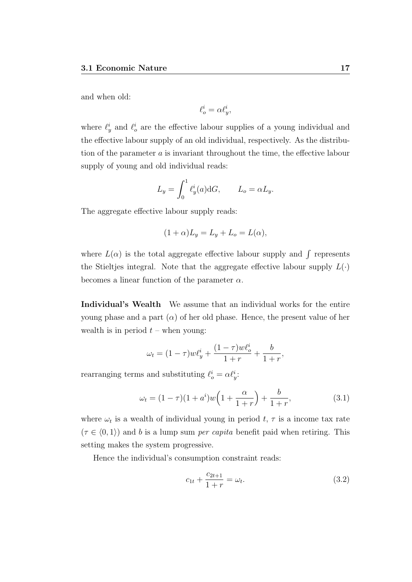and when old:

$$
\ell_o^i = \alpha \ell_y^i,
$$

where  $\ell_y^i$  and  $\ell_o^i$  are the effective labour supplies of a young individual and the effective labour supply of an old individual, respectively. As the distribution of the parameter a is invariant throughout the time, the effective labour supply of young and old individual reads:

$$
L_y = \int_0^1 \ell_y^i(a) dG, \qquad L_o = \alpha L_y.
$$

The aggregate effective labour supply reads:

$$
(1+\alpha)L_y = L_y + L_o = L(\alpha),
$$

where  $L(\alpha)$  is the total aggregate effective labour supply and  $\int$  represents the Stieltjes integral. Note that the aggregate effective labour supply  $L(\cdot)$ becomes a linear function of the parameter  $\alpha$ .

Individual's Wealth We assume that an individual works for the entire young phase and a part  $(\alpha)$  of her old phase. Hence, the present value of her wealth is in period  $t$  – when young:

$$
\omega_t = (1 - \tau) w \ell_y^i + \frac{(1 - \tau) w \ell_o^i}{1 + r} + \frac{b}{1 + r},
$$

rearranging terms and substituting  $\ell_o^i = \alpha \ell_j^i$ .

$$
\omega_t = (1 - \tau)(1 + a^i)w\left(1 + \frac{\alpha}{1 + r}\right) + \frac{b}{1 + r},\tag{3.1}
$$

where  $\omega_t$  is a wealth of individual young in period t,  $\tau$  is a income tax rate  $(\tau \in \langle 0, 1 \rangle)$  and b is a lump sum per capita benefit paid when retiring. This setting makes the system progressive.

Hence the individual's consumption constraint reads:

$$
c_{1t} + \frac{c_{2t+1}}{1+r} = \omega_t.
$$
 (3.2)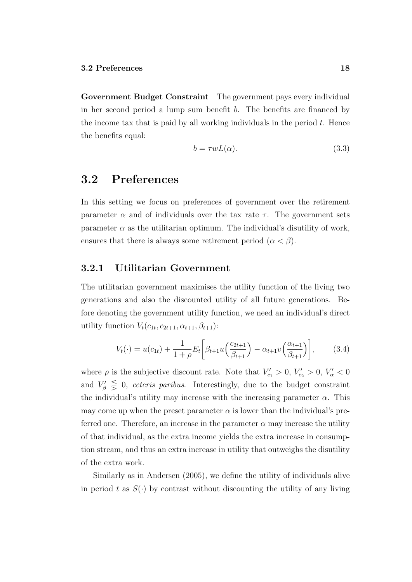Government Budget Constraint The government pays every individual in her second period a lump sum benefit b. The benefits are financed by the income tax that is paid by all working individuals in the period  $t$ . Hence the benefits equal:

$$
b = \tau w L(\alpha). \tag{3.3}
$$

### 3.2 Preferences

In this setting we focus on preferences of government over the retirement parameter  $\alpha$  and of individuals over the tax rate  $\tau$ . The government sets parameter  $\alpha$  as the utilitarian optimum. The individual's disutility of work, ensures that there is always some retirement period  $(\alpha < \beta)$ .

#### 3.2.1 Utilitarian Government

The utilitarian government maximises the utility function of the living two generations and also the discounted utility of all future generations. Before denoting the government utility function, we need an individual's direct utility function  $V_t(c_{1t}, c_{2t+1}, \alpha_{t+1}, \beta_{t+1})$ :

$$
V_t(\cdot) = u(c_{1t}) + \frac{1}{1+\rho} E_t \left[ \beta_{t+1} u \left( \frac{c_{2t+1}}{\beta_{t+1}} \right) - \alpha_{t+1} v \left( \frac{\alpha_{t+1}}{\beta_{t+1}} \right) \right],\tag{3.4}
$$

where  $\rho$  is the subjective discount rate. Note that  $V_{c_1} > 0$ ,  $V_{c_2} > 0$ ,  $V_{\alpha} < 0$ and  $V'_\beta \leq 0$ , ceteris paribus. Interestingly, due to the budget constraint the individual's utility may increase with the increasing parameter  $\alpha$ . This may come up when the preset parameter  $\alpha$  is lower than the individual's preferred one. Therefore, an increase in the parameter  $\alpha$  may increase the utility of that individual, as the extra income yields the extra increase in consumption stream, and thus an extra increase in utility that outweighs the disutility of the extra work.

Similarly as in Andersen (2005), we define the utility of individuals alive in period t as  $S(\cdot)$  by contrast without discounting the utility of any living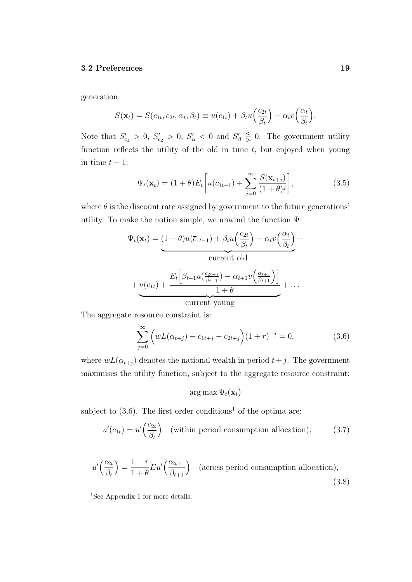generation:

$$
S(\mathbf{x}_t) = S(c_{1t}, c_{2t}, \alpha_t, \beta_t) \equiv u(c_{1t}) + \beta_t u \left(\frac{c_{2t}}{\beta_t}\right) - \alpha_t v \left(\frac{\alpha_t}{\beta_t}\right).
$$

Note that  $S'_{c_1} > 0$ ,  $S'_{c_2} > 0$ ,  $S'_{\alpha} < 0$  and  $S'_{\beta} \leq 0$ . The government utility function reflects the utility of the old in time  $t$ , but enjoyed when young in time  $t - 1$ :

$$
\Psi_t(\mathbf{x}_t) = (1+\theta)E_t\bigg[u(\overline{c}_{1t-1}) + \sum_{j=0}^{\infty} \frac{S(\mathbf{x}_{t+j})}{(1+\theta)^j}\bigg],\tag{3.5}
$$

where  $\theta$  is the discount rate assigned by government to the future generations' utility. To make the notion simple, we unwind the function Ψ:

$$
\Psi_t(\mathbf{x}_t) = (1+\theta)u(\overline{c}_{1t-1}) + \beta_t u\left(\frac{c_{2t}}{\beta_t}\right) - \alpha_t v\left(\frac{\alpha_t}{\beta_t}\right) + \text{current old}
$$
\n
$$
+ u(c_{1t}) + \frac{E_t\left[\beta_{t+1} u\left(\frac{c_{2t+1}}{\beta_{t+1}}\right) - \alpha_{t+1} v\left(\frac{\alpha_{t+1}}{\beta_{t+1}}\right)\right]}{1+\theta} + \dots
$$
\n
$$
\text{current young}
$$

The aggregate resource constraint is:

$$
\sum_{j=0}^{\infty} \left( wL(\alpha_{t+j}) - c_{1t+j} - c_{2t+j} \right) (1+r)^{-j} = 0,
$$
\n(3.6)

where  $wL(\alpha_{t+j})$  denotes the national wealth in period  $t+j$ . The government maximises the utility function, subject to the aggregate resource constraint:

 $\arg \max \Psi_t(\mathbf{x}_t)$ 

subject to  $(3.6)$ . The first order conditions<sup>1</sup> of the optima are:

$$
u'(c_{1t}) = u'\left(\frac{c_{2t}}{\beta_t}\right) \quad \text{(within period consumption allocation)},\tag{3.7}
$$

$$
u'\left(\frac{c_{2t}}{\beta_t}\right) = \frac{1+r}{1+\theta} Eu'\left(\frac{c_{2t+1}}{\beta_{t+1}}\right) \quad \text{(across period consumption allocation)},\tag{3.8}
$$

<sup>&</sup>lt;sup>1</sup>See Appendix 1 for more details.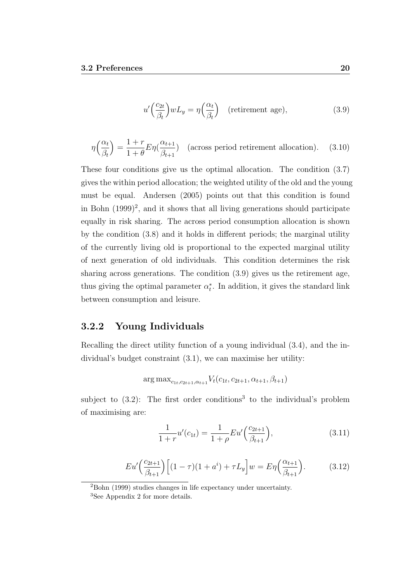$$
u'\left(\frac{c_{2t}}{\beta_t}\right)wL_y = \eta\left(\frac{\alpha_t}{\beta_t}\right) \quad \text{(retirement age)},\tag{3.9}
$$

$$
\eta\left(\frac{\alpha_t}{\beta_t}\right) = \frac{1+r}{1+\theta} E \eta\left(\frac{\alpha_{t+1}}{\beta_{t+1}}\right) \quad \text{(across period retirement allocation)}.\tag{3.10}
$$

These four conditions give us the optimal allocation. The condition (3.7) gives the within period allocation; the weighted utility of the old and the young must be equal. Andersen (2005) points out that this condition is found in Bohn  $(1999)^2$ , and it shows that all living generations should participate equally in risk sharing. The across period consumption allocation is shown by the condition (3.8) and it holds in different periods; the marginal utility of the currently living old is proportional to the expected marginal utility of next generation of old individuals. This condition determines the risk sharing across generations. The condition (3.9) gives us the retirement age, thus giving the optimal parameter  $\alpha_t^*$ . In addition, it gives the standard link between consumption and leisure.

#### 3.2.2 Young Individuals

Recalling the direct utility function of a young individual (3.4), and the individual's budget constraint (3.1), we can maximise her utility:

$$
\arg \max_{c_{1t}, c_{2t+1}, \alpha_{t+1}} V_t(c_{1t}, c_{2t+1}, \alpha_{t+1}, \beta_{t+1})
$$

subject to  $(3.2)$ : The first order conditions<sup>3</sup> to the individual's problem of maximising are:

$$
\frac{1}{1+r}u'(c_{1t}) = \frac{1}{1+\rho}Eu'\left(\frac{c_{2t+1}}{\beta_{t+1}}\right),\tag{3.11}
$$

$$
Eu'\left(\frac{c_{2t+1}}{\beta_{t+1}}\right)\left[(1-\tau)(1+a^i)+\tau L_y\right]w = E\eta\left(\frac{\alpha_{t+1}}{\beta_{t+1}}\right). \tag{3.12}
$$

<sup>2</sup>Bohn (1999) studies changes in life expectancy under uncertainty.

<sup>3</sup>See Appendix 2 for more details.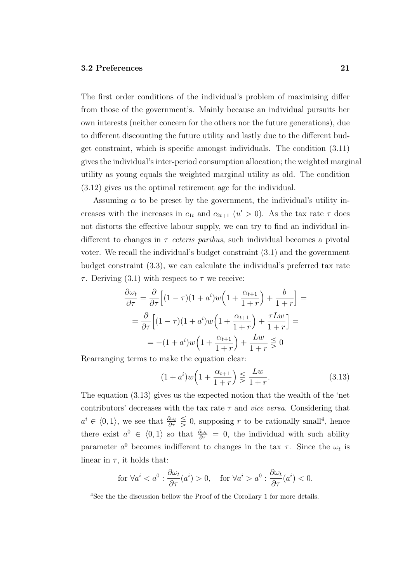The first order conditions of the individual's problem of maximising differ from those of the government's. Mainly because an individual pursuits her own interests (neither concern for the others nor the future generations), due to different discounting the future utility and lastly due to the different budget constraint, which is specific amongst individuals. The condition (3.11) gives the individual's inter-period consumption allocation; the weighted marginal utility as young equals the weighted marginal utility as old. The condition (3.12) gives us the optimal retirement age for the individual.

Assuming  $\alpha$  to be preset by the government, the individual's utility increases with the increases in  $c_{1t}$  and  $c_{2t+1}$   $(u' > 0)$ . As the tax rate  $\tau$  does not distorts the effective labour supply, we can try to find an individual indifferent to changes in  $\tau$  ceteris paribus, such individual becomes a pivotal voter. We recall the individual's budget constraint (3.1) and the government budget constraint (3.3), we can calculate the individual's preferred tax rate τ. Deriving (3.1) with respect to  $τ$  we receive:

$$
\frac{\partial \omega_t}{\partial \tau} = \frac{\partial}{\partial \tau} \Big[ (1 - \tau)(1 + a^i) w \Big( 1 + \frac{\alpha_{t+1}}{1+r} \Big) + \frac{b}{1+r} \Big] =
$$

$$
= \frac{\partial}{\partial \tau} \Big[ (1 - \tau)(1 + a^i) w \Big( 1 + \frac{\alpha_{t+1}}{1+r} \Big) + \frac{\tau L w}{1+r} \Big] =
$$

$$
= -(1 + a^i) w \Big( 1 + \frac{\alpha_{t+1}}{1+r} \Big) + \frac{L w}{1+r} \leq 0
$$

Rearranging terms to make the equation clear:

$$
(1+a^i)w\left(1+\frac{\alpha_{t+1}}{1+r}\right) \le \frac{Lw}{1+r}.\tag{3.13}
$$

The equation (3.13) gives us the expected notion that the wealth of the 'net contributors' decreases with the tax rate  $\tau$  and *vice versa*. Considering that  $a^i \in (0,1)$ , we see that  $\frac{\partial \omega_t}{\partial \tau} \leq 0$ , supposing r to be rationally small<sup>4</sup>, hence there exist  $a^0 \in \langle 0, 1 \rangle$  so that  $\frac{\partial \omega_t}{\partial \tau} = 0$ , the individual with such ability parameter  $a^0$  becomes indifferent to changes in the tax  $\tau$ . Since the  $\omega_t$  is linear in  $\tau$ , it holds that:

$$
\text{for }\forall a^i0,\quad \text{for }\forall a^i>a^0: \frac{\partial \omega_t}{\partial \tau}(a^i)<0.
$$

<sup>&</sup>lt;sup>4</sup>See the the discussion bellow the Proof of the Corollary 1 for more details.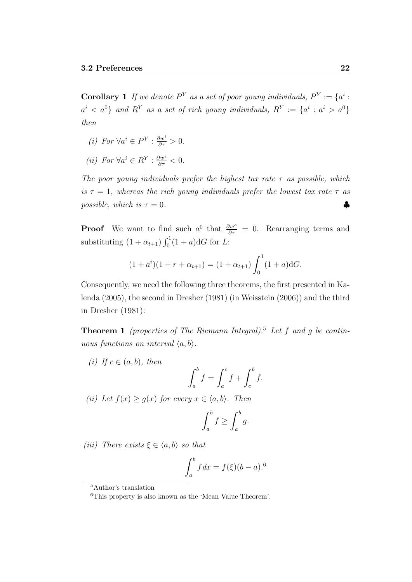**Corollary 1** If we denote  $P^Y$  as a set of poor young individuals,  $P^Y := \{a^i :$  $a^i < a^0$ } and R<sup>Y</sup> as a set of rich young individuals,  $R^Y := \{a^i : a^i > a^0\}$ then

- (*i*) For  $\forall a^i \in P^Y : \frac{\partial w^i}{\partial \tau} > 0.$
- (*ii*) For  $\forall a^i \in R^Y : \frac{\partial w^i}{\partial \tau} < 0.$

The poor young individuals prefer the highest tax rate  $\tau$  as possible, which is  $\tau = 1$ , whereas the rich young individuals prefer the lowest tax rate  $\tau$  as possible, which is  $\tau = 0$ .

**Proof** We want to find such  $a^0$  that  $\frac{\partial w^o}{\partial \tau} = 0$ . Rearranging terms and substituting  $(1 + \alpha_{t+1}) \int_0^1 (1 + a) dG$  for L:

$$
(1 + a^{i})(1 + r + \alpha_{t+1}) = (1 + \alpha_{t+1}) \int_0^1 (1 + a) dG.
$$

Consequently, we need the following three theorems, the first presented in Kalenda (2005), the second in Dresher (1981) (in Weisstein (2006)) and the third in Dresher (1981):

**Theorem 1** (properties of The Riemann Integral).<sup>5</sup> Let f and g be continuous functions on interval  $\langle a, b \rangle$ .

(i) If  $c \in (a, b)$ , then

$$
\int_a^b f = \int_a^c f + \int_c^b f.
$$

(ii) Let  $f(x) \ge g(x)$  for every  $x \in \langle a, b \rangle$ . Then

$$
\int_a^b f \ge \int_a^b g.
$$

(iii) There exists  $\xi \in \langle a, b \rangle$  so that

$$
\int_{a}^{b} f \, dx = f(\xi)(b-a).^{6}
$$

<sup>5</sup>Author's translation

<sup>6</sup>This property is also known as the 'Mean Value Theorem'.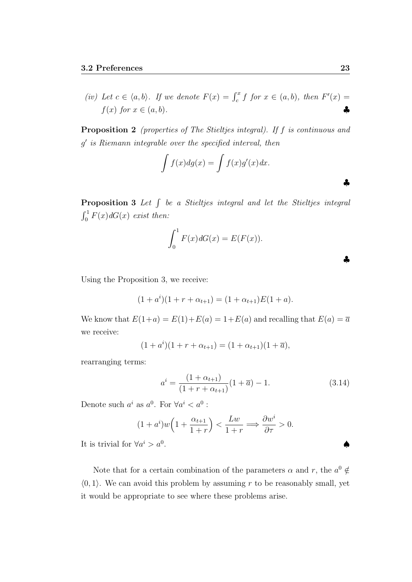(iv) Let  $c \in \langle a, b \rangle$ . If we denote  $F(x) = \int_c^x f$  for  $x \in (a, b)$ , then  $F'(x) =$  $f(x)$  for  $x \in (a, b)$ .

Proposition 2 (properties of The Stieltjes integral). If f is continuous and g 0 is Riemann integrable over the specified interval, then

$$
\int f(x)dg(x) = \int f(x)g'(x)dx.
$$

**Proposition 3** Let  $\int$  be a Stieltjes integral and let the Stieltjes integral  $\int_0^1 F(x) dG(x)$  exist then:

$$
\int_0^1 F(x)dG(x) = E(F(x)).
$$

Using the Proposition 3, we receive:

$$
(1 + a^{i})(1 + r + \alpha_{t+1}) = (1 + \alpha_{t+1})E(1 + a).
$$

We know that  $E(1+a) = E(1) + E(a) = 1 + E(a)$  and recalling that  $E(a) = \overline{a}$ we receive:

$$
(1 + a^{i})(1 + r + \alpha_{t+1}) = (1 + \alpha_{t+1})(1 + \overline{a}),
$$

rearranging terms:

$$
a^{i} = \frac{(1 + \alpha_{t+1})}{(1 + r + \alpha_{t+1})}(1 + \overline{a}) - 1.
$$
\n(3.14)

Denote such  $a^i$  as  $a^0$ . For  $\forall a^i < a^0$ :

$$
(1+a^i)w\left(1+\frac{\alpha_{t+1}}{1+r}\right)<\frac{Lw}{1+r}\Longrightarrow\frac{\partial w^i}{\partial \tau}>0.
$$

It is trivial for  $\forall a^i > a^0$ . ♠

Note that for a certain combination of the parameters  $\alpha$  and  $r$ , the  $a^0 \notin$  $(0, 1)$ . We can avoid this problem by assuming r to be reasonably small, yet it would be appropriate to see where these problems arise.

♣

♣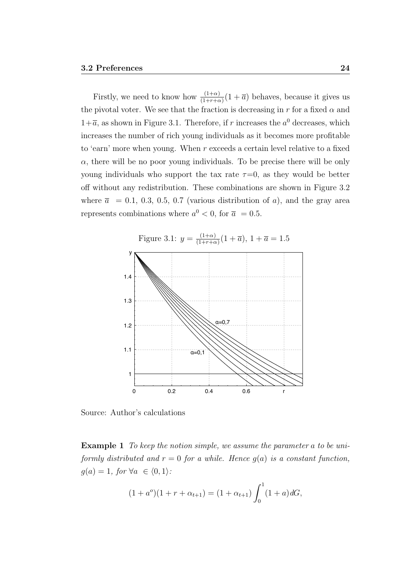Firstly, we need to know how  $\frac{(1+\alpha)}{(1+r+\alpha)}(1+\overline{a})$  behaves, because it gives us the pivotal voter. We see that the fraction is decreasing in r for a fixed  $\alpha$  and  $1+\overline{a}$ , as shown in Figure 3.1. Therefore, if r increases the  $a^0$  decreases, which increases the number of rich young individuals as it becomes more profitable to 'earn' more when young. When  $r$  exceeds a certain level relative to a fixed  $\alpha$ , there will be no poor young individuals. To be precise there will be only young individuals who support the tax rate  $\tau=0$ , as they would be better off without any redistribution. These combinations are shown in Figure 3.2 where  $\bar{a} = 0.1, 0.3, 0.5, 0.7$  (various distribution of a), and the gray area represents combinations where  $a^0 < 0$ , for  $\bar{a} = 0.5$ .



Source: Author's calculations

Example 1 To keep the notion simple, we assume the parameter a to be uniformly distributed and  $r = 0$  for a while. Hence  $q(a)$  is a constant function,  $g(a) = 1$ , for  $\forall a \in \langle 0, 1 \rangle$ :

$$
(1 + a^o)(1 + r + \alpha_{t+1}) = (1 + \alpha_{t+1}) \int_0^1 (1 + a) dG,
$$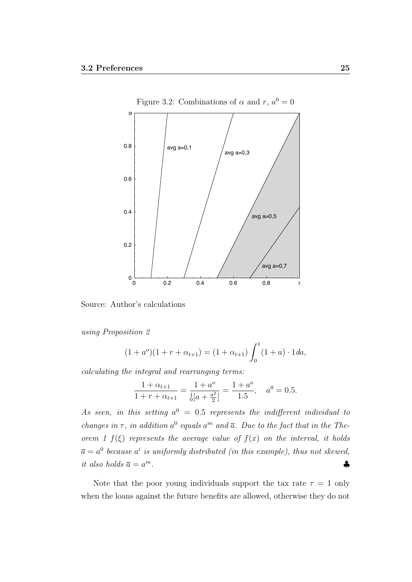

Figure 3.2: Combinations of  $\alpha$  and  $r, a^0 = 0$ 

Source: Author's calculations

using Proposition 2

$$
(1 + a^o)(1 + r + \alpha_{t+1}) = (1 + \alpha_{t+1}) \int_0^1 (1 + a) \cdot 1 \, da,
$$

calculating the integral and rearranging terms:

$$
\frac{1 + \alpha_{t+1}}{1 + r + \alpha_{t+1}} = \frac{1 + a^o}{\frac{1}{0} \left[a + \frac{a^2}{2}\right]} = \frac{1 + a^o}{1.5}, \quad a^0 = 0.5.
$$

As seen, in this setting  $a^0 = 0.5$  represents the indifferent individual to changes in  $\tau$ , in addition  $a^0$  equals  $a^m$  and  $\overline{a}$ . Due to the fact that in the Theorem 1  $f(\xi)$  represents the average value of  $f(x)$  on the interval, it holds  $\overline{a} = a^0$  because  $a^i$  is uniformly distributed (in this example), thus not skewed, it also holds  $\overline{a} = a^m$ .  $m$ .

Note that the poor young individuals support the tax rate  $\tau = 1$  only when the loans against the future benefits are allowed, otherwise they do not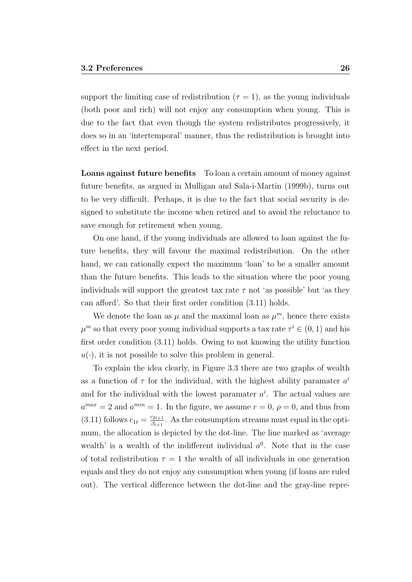support the limiting case of redistribution  $(\tau = 1)$ , as the young individuals (both poor and rich) will not enjoy any consumption when young. This is due to the fact that even though the system redistributes progressively, it does so in an 'intertemporal' manner, thus the redistribution is brought into effect in the next period.

Loans against future benefits To loan a certain amount of money against future benefits, as argued in Mulligan and Sala-i-Martin (1999b), turns out to be very difficult. Perhaps, it is due to the fact that social security is designed to substitute the income when retired and to avoid the reluctance to save enough for retirement when young.

On one hand, if the young individuals are allowed to loan against the future benefits, they will favour the maximal redistribution. On the other hand, we can rationally expect the maximum 'loan' to be a smaller amount than the future benefits. This leads to the situation where the poor young individuals will support the greatest tax rate  $\tau$  not 'as possible' but 'as they can afford'. So that their first order condition (3.11) holds.

We denote the loan as  $\mu$  and the maximal loan as  $\mu^m$ , hence there exists  $\mu^m$  so that every poor young individual supports a tax rate  $\tau^i \in (0,1)$  and his first order condition (3.11) holds. Owing to not knowing the utility function  $u(\cdot)$ , it is not possible to solve this problem in general.

To explain the idea clearly, in Figure 3.3 there are two graphs of wealth as a function of  $\tau$  for the individual, with the highest ability paramater  $a^i$ and for the individual with the lowest paramater  $a^i$ . The actual values are  $a^{max} = 2$  and  $a^{min} = 1$ . In the figure, we assume  $r = 0$ ,  $\rho = 0$ , and thus from  $(3.11)$  follows  $c_{1t} = \frac{c_{2t+1}}{\beta_{t+1}}$  $\frac{c_{2t+1}}{\beta_{t+1}}$ . As the consumption streams must equal in the optimum, the allocation is depicted by the dot-line. The line marked as 'average wealth' is a wealth of the indifferent individual  $a^0$ . Note that in the case of total redistribution  $\tau = 1$  the wealth of all individuals in one generation equals and they do not enjoy any consumption when young (if loans are ruled out). The vertical difference between the dot-line and the gray-line repre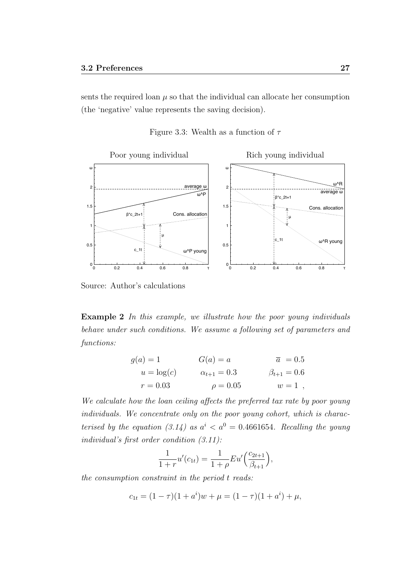sents the required loan  $\mu$  so that the individual can allocate her consumption (the 'negative' value represents the saving decision).

Figure 3.3: Wealth as a function of  $\tau$ 



Source: Author's calculations

Example 2 In this example, we illustrate how the poor young individuals behave under such conditions. We assume a following set of parameters and functions:

$$
g(a) = 1
$$
  
\n
$$
u = \log(c)
$$
  
\n
$$
G(a) = a
$$
  
\n
$$
\overline{a} = 0.5
$$
  
\n
$$
\beta_{t+1} = 0.6
$$
  
\n
$$
r = 0.03
$$
  
\n
$$
G(a) = a
$$
  
\n
$$
\alpha_{t+1} = 0.3
$$
  
\n
$$
\beta_{t+1} = 0.6
$$
  
\n
$$
w = 1
$$

We calculate how the loan ceiling affects the preferred tax rate by poor young individuals. We concentrate only on the poor young cohort, which is characterised by the equation (3.14) as  $a^{i} < a^{0} = 0.4661654$ . Recalling the young individual's first order condition (3.11):

$$
\frac{1}{1+r}u'(c_{1t}) = \frac{1}{1+\rho}Eu'\Big(\frac{c_{2t+1}}{\beta_{t+1}}\Big),\,
$$

the consumption constraint in the period t reads:

$$
c_{1t} = (1 - \tau)(1 + a^i)w + \mu = (1 - \tau)(1 + a^i) + \mu,
$$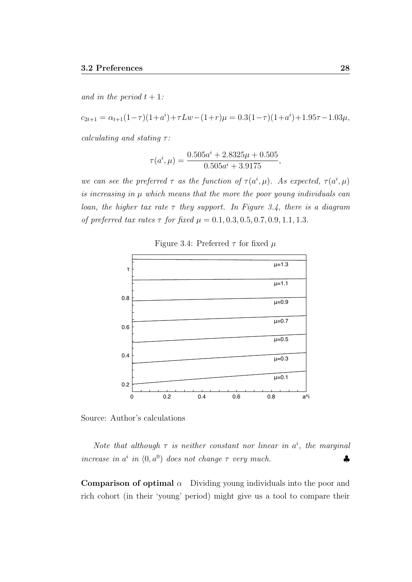and in the period  $t + 1$ :

$$
c_{2t+1} = \alpha_{t+1}(1-\tau)(1+a^i) + \tau Lw - (1+r)\mu = 0.3(1-\tau)(1+a^i) + 1.95\tau - 1.03\mu,
$$

calculating and stating  $\tau$ :

$$
\tau(a^i, \mu) = \frac{0.505a^i + 2.8325\mu + 0.505}{0.505a^i + 3.9175},
$$

we can see the preferred  $\tau$  as the function of  $\tau(a^i, \mu)$ . As expected,  $\tau(a^i, \mu)$ is increasing in  $\mu$  which means that the more the poor young individuals can loan, the higher tax rate  $\tau$  they support. In Figure 3.4, there is a diagram of preferred tax rates  $\tau$  for fixed  $\mu = 0.1, 0.3, 0.5, 0.7, 0.9, 1.1, 1.3$ .



Figure 3.4: Preferred  $\tau$  for fixed  $\mu$ 

Source: Author's calculations

Note that although  $\tau$  is neither constant nor linear in  $a^i$ , the marginal increase in  $a^i$  in  $(0, a^0)$  does not change  $\tau$  very much.

**Comparison of optimal**  $\alpha$  Dividing young individuals into the poor and rich cohort (in their 'young' period) might give us a tool to compare their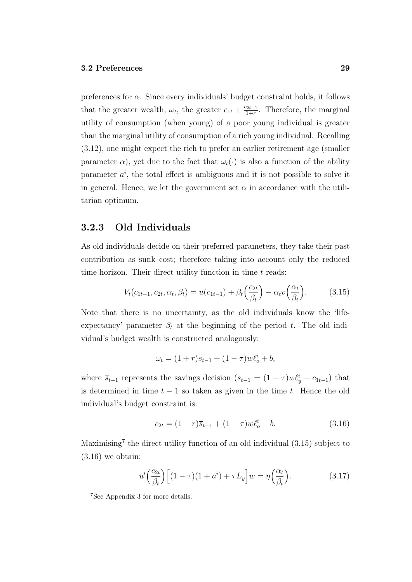preferences for  $\alpha$ . Since every individuals' budget constraint holds, it follows that the greater wealth,  $\omega_t$ , the greater  $c_{1t} + \frac{c_{2t+1}}{1+r}$  $\frac{22t+1}{1+r}$ . Therefore, the marginal utility of consumption (when young) of a poor young individual is greater than the marginal utility of consumption of a rich young individual. Recalling (3.12), one might expect the rich to prefer an earlier retirement age (smaller parameter  $\alpha$ ), yet due to the fact that  $\omega_t(\cdot)$  is also a function of the ability parameter  $a^i$ , the total effect is ambiguous and it is not possible to solve it in general. Hence, we let the government set  $\alpha$  in accordance with the utilitarian optimum.

#### 3.2.3 Old Individuals

As old individuals decide on their preferred parameters, they take their past contribution as sunk cost; therefore taking into account only the reduced time horizon. Their direct utility function in time  $t$  reads:

$$
V_t(\overline{c}_{1t-1}, c_{2t}, \alpha_t, \beta_t) = u(\overline{c}_{1t-1}) + \beta_t \left(\frac{c_{2t}}{\beta_t}\right) - \alpha_t v \left(\frac{\alpha_t}{\beta_t}\right). \tag{3.15}
$$

Note that there is no uncertainty, as the old individuals know the 'lifeexpectancy' parameter  $\beta_t$  at the beginning of the period t. The old individual's budget wealth is constructed analogously:

$$
\omega_t = (1+r)\overline{s}_{t-1} + (1-\tau)w\ell_o^i + b,
$$

where  $\bar{s}_{t-1}$  represents the savings decision  $(s_{t-1} = (1 - \tau) w \ell_y^i - c_{1t-1})$  that is determined in time  $t - 1$  so taken as given in the time t. Hence the old individual's budget constraint is:

$$
c_{2t} = (1+r)\overline{s}_{t-1} + (1-\tau)w\ell_o^i + b. \tag{3.16}
$$

Maximising<sup>7</sup> the direct utility function of an old individual (3.15) subject to  $(3.16)$  we obtain:

$$
u'\left(\frac{c_{2t}}{\beta_t}\right)\left[(1-\tau)(1+a^i)+\tau L_y\right]w=\eta\left(\frac{\alpha_t}{\beta_t}\right). \tag{3.17}
$$

<sup>&</sup>lt;sup>7</sup>See Appendix 3 for more details.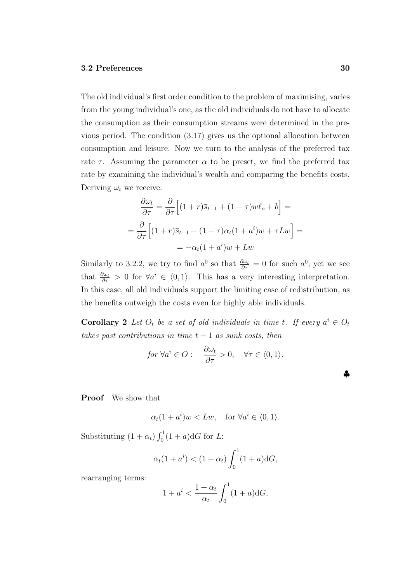The old individual's first order condition to the problem of maximising, varies from the young individual's one, as the old individuals do not have to allocate the consumption as their consumption streams were determined in the previous period. The condition (3.17) gives us the optional allocation between consumption and leisure. Now we turn to the analysis of the preferred tax rate  $\tau$ . Assuming the parameter  $\alpha$  to be preset, we find the preferred tax rate by examining the individual's wealth and comparing the benefits costs. Deriving  $\omega_t$  we receive:

$$
\frac{\partial \omega_t}{\partial \tau} = \frac{\partial}{\partial \tau} \Big[ (1+r)\overline{s}_{t-1} + (1-\tau)w\ell_o + b \Big] =
$$

$$
= \frac{\partial}{\partial \tau} \Big[ (1+r)\overline{s}_{t-1} + (1-\tau)\alpha_t(1+a^i)w + \tau L w \Big] =
$$

$$
= -\alpha_t(1+a^i)w + L w
$$

Similarly to 3.2.2, we try to find  $a^0$  so that  $\frac{\partial \omega_t}{\partial \tau} = 0$  for such  $a^0$ , yet we see that  $\frac{\partial \omega_t}{\partial \tau} > 0$  for  $\forall a^i \in \langle 0, 1 \rangle$ . This has a very interesting interpretation. In this case, all old individuals support the limiting case of redistribution, as the benefits outweigh the costs even for highly able individuals.

**Corollary 2** Let  $O_t$  be a set of old individuals in time t. If every  $a^i \in O_t$ takes past contributions in time  $t-1$  as sunk costs, then

$$
for \ \forall a^i \in O: \quad \frac{\partial \omega_t}{\partial \tau} > 0, \quad \forall \tau \in \langle 0, 1 \rangle.
$$

Proof We show that

$$
\alpha_t(1+a^i)w < Lw, \quad \text{for } \forall a^i \in \langle 0,1 \rangle.
$$

Substituting  $(1 + \alpha_t) \int_0^1 (1 + a) dG$  for L:

$$
\alpha_t(1+a^i) < (1+\alpha_t) \int_0^1 (1+a) \mathrm{d}G,
$$

rearranging terms:

$$
1 + a^i < \frac{1 + \alpha_t}{\alpha_t} \int_0^1 (1 + a) \mathrm{d}G,
$$

♣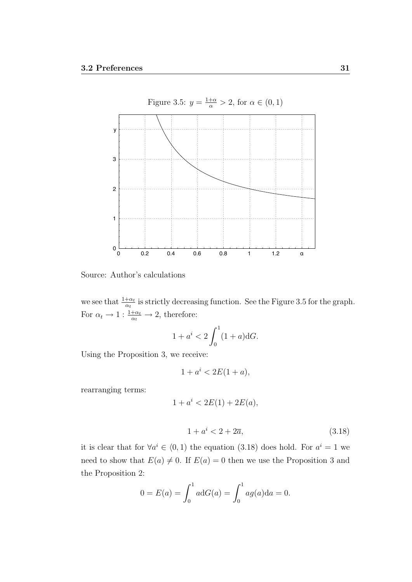

Source: Author's calculations

we see that  $\frac{1+\alpha_t}{\alpha_t}$  is strictly decreasing function. See the Figure 3.5 for the graph. For  $\alpha_t \to 1 : \frac{1+\alpha_t}{\alpha_t} \to 2$ , therefore:

$$
1 + a^i < 2 \int_0^1 (1 + a) \mathrm{d}G.
$$

Using the Proposition 3, we receive:

$$
1 + a^i < 2E(1 + a)
$$

rearranging terms:

$$
1 + a^i < 2E(1) + 2E(a),
$$

$$
1 + a^i < 2 + 2\overline{a},\tag{3.18}
$$

it is clear that for  $\forall a^i \in (0,1)$  the equation (3.18) does hold. For  $a^i = 1$  we need to show that  $E(a) \neq 0$ . If  $E(a) = 0$  then we use the Proposition 3 and the Proposition 2:

$$
0 = E(a) = \int_0^1 a \, dG(a) = \int_0^1 a g(a) \, da = 0.
$$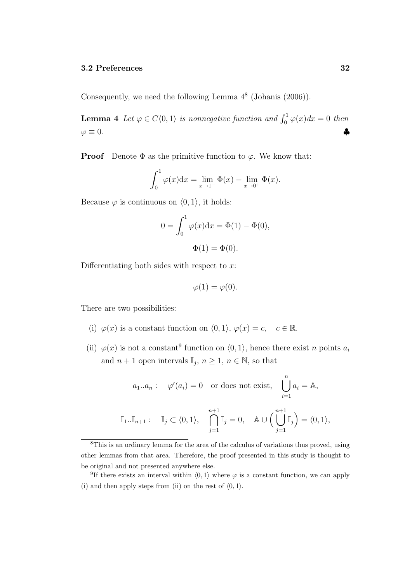Consequently, we need the following Lemma  $4^8$  (Johanis  $(2006)$ ).

**Lemma 4** Let  $\varphi \in C\langle 0,1 \rangle$  is nonnegative function and  $\int_0^1 \varphi(x) dx = 0$  then  $\varphi \equiv 0.$   $\blacklozenge$ 

**Proof** Denote  $\Phi$  as the primitive function to  $\varphi$ . We know that:

$$
\int_0^1 \varphi(x) dx = \lim_{x \to 1^-} \Phi(x) - \lim_{x \to 0^+} \Phi(x).
$$

Because  $\varphi$  is continuous on  $(0, 1)$ , it holds:

$$
0 = \int_0^1 \varphi(x) dx = \Phi(1) - \Phi(0),
$$
  

$$
\Phi(1) = \Phi(0).
$$

Differentiating both sides with respect to  $x$ :

$$
\varphi(1) = \varphi(0).
$$

There are two possibilities:

- (i)  $\varphi(x)$  is a constant function on  $\langle 0, 1 \rangle$ ,  $\varphi(x) = c$ ,  $c \in \mathbb{R}$ .
- (ii)  $\varphi(x)$  is not a constant<sup>9</sup> function on  $\langle 0, 1 \rangle$ , hence there exist *n* points  $a_i$ and  $n+1$  open intervals  $\mathbb{I}_j$ ,  $n \geq 1$ ,  $n \in \mathbb{N}$ , so that

$$
a_1 \dots a_n: \quad \varphi'(a_i) = 0 \quad \text{or does not exist,} \quad \bigcup_{i=1}^n a_i = \mathbb{A},
$$

$$
\mathbb{I}_1 \dots \mathbb{I}_{n+1}: \quad \mathbb{I}_j \subset \langle 0, 1 \rangle, \quad \bigcap_{j=1}^{n+1} \mathbb{I}_j = 0, \quad \mathbb{A} \cup \Big(\bigcup_{j=1}^{n+1} \mathbb{I}_j \Big) = \langle 0, 1 \rangle,
$$

<sup>8</sup>This is an ordinary lemma for the area of the calculus of variations thus proved, using other lemmas from that area. Therefore, the proof presented in this study is thought to be original and not presented anywhere else.

<sup>9</sup>If there exists an interval within  $\langle 0, 1 \rangle$  where  $\varphi$  is a constant function, we can apply (i) and then apply steps from (ii) on the rest of  $(0, 1)$ .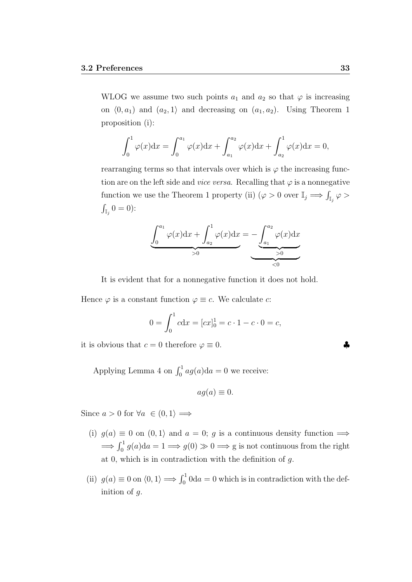WLOG we assume two such points  $a_1$  and  $a_2$  so that  $\varphi$  is increasing on  $(0, a_1)$  and  $(a_2, 1)$  and decreasing on  $(a_1, a_2)$ . Using Theorem 1 proposition (i):

$$
\int_0^1 \varphi(x) dx = \int_0^{a_1} \varphi(x) dx + \int_{a_1}^{a_2} \varphi(x) dx + \int_{a_2}^1 \varphi(x) dx = 0,
$$

rearranging terms so that intervals over which is  $\varphi$  the increasing function are on the left side and *vice versa*. Recalling that  $\varphi$  is a nonnegative function we use the Theorem 1 property (ii)  $(\varphi > 0 \text{ over } \mathbb{I}_j \Longrightarrow \int_{\mathbb{I}_j} \varphi >$  $\int_{\mathbb{I}_j} 0 = 0$ :

$$
\underbrace{\int_0^{a_1} \varphi(x) dx}_{>0} + \underbrace{\int_{a_2}^1 \varphi(x) dx}_{>0} = - \underbrace{\int_{a_1}^{a_2} \varphi(x) dx}_{>0}
$$

It is evident that for a nonnegative function it does not hold.

Hence  $\varphi$  is a constant function  $\varphi \equiv c$ . We calculate c:

$$
0 = \int_0^1 c \mathrm{d}x = [cx]_0^1 = c \cdot 1 - c \cdot 0 = c,
$$

it is obvious that  $c = 0$  therefore  $\varphi \equiv 0$ .

Applying Lemma 4 on  $\int_0^1 a g(a) da = 0$  we receive:

$$
ag(a) \equiv 0.
$$

Since  $a > 0$  for  $\forall a \in (0,1) \implies$ 

- (i)  $g(a) \equiv 0$  on  $(0, 1)$  and  $a = 0$ ; g is a continuous density function  $\Longrightarrow$  $\Rightarrow \int_0^1 g(a)da = 1 \Rightarrow g(0) \gg 0 \Rightarrow g$  is not continuous from the right at 0, which is in contradiction with the definition of  $q$ .
- (ii)  $g(a) \equiv 0$  on  $\langle 0, 1 \rangle \Longrightarrow \int_0^1 0 \, \mathrm{d}a = 0$  which is in contradiction with the definition of g.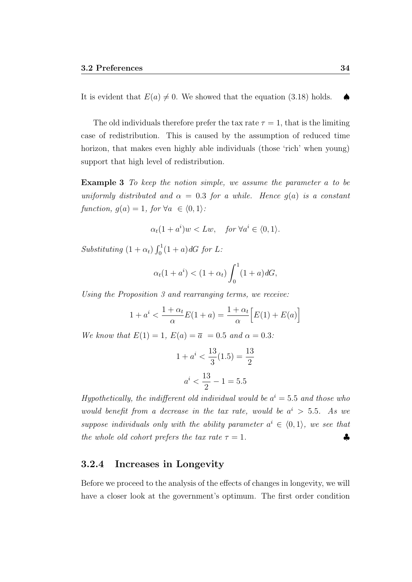The old individuals therefore prefer the tax rate  $\tau = 1$ , that is the limiting case of redistribution. This is caused by the assumption of reduced time horizon, that makes even highly able individuals (those 'rich' when young) support that high level of redistribution.

**Example 3** To keep the notion simple, we assume the parameter a to be uniformly distributed and  $\alpha = 0.3$  for a while. Hence  $g(a)$  is a constant function,  $g(a) = 1$ , for  $\forall a \in \langle 0, 1 \rangle$ :

$$
\alpha_t(1+a^i)w < Lw, \quad \text{for } \forall a^i \in \langle 0, 1 \rangle.
$$

Substituting  $(1 + \alpha_t) \int_0^1 (1 + a) dG$  for L:

$$
\alpha_t(1 + a^i) < (1 + \alpha_t) \int_0^1 (1 + a) dG,
$$

Using the Proposition 3 and rearranging terms, we receive:

$$
1 + a^i < \frac{1 + \alpha_t}{\alpha} E(1 + a) = \frac{1 + \alpha_t}{\alpha} \Big[ E(1) + E(a) \Big]
$$

We know that  $E(1) = 1$ ,  $E(a) = \overline{a} = 0.5$  and  $\alpha = 0.3$ :

$$
1 + ai < \frac{13}{3}(1.5) = \frac{13}{2}
$$

$$
ai < \frac{13}{2} - 1 = 5.5
$$

Hypothetically, the indifferent old individual would be  $a^i = 5.5$  and those who would benefit from a decrease in the tax rate, would be  $a^i > 5.5$ . As we suppose individuals only with the ability parameter  $a^i \in (0,1)$ , we see that the whole old cohort prefers the tax rate  $\tau = 1$ .

#### 3.2.4 Increases in Longevity

Before we proceed to the analysis of the effects of changes in longevity, we will have a closer look at the government's optimum. The first order condition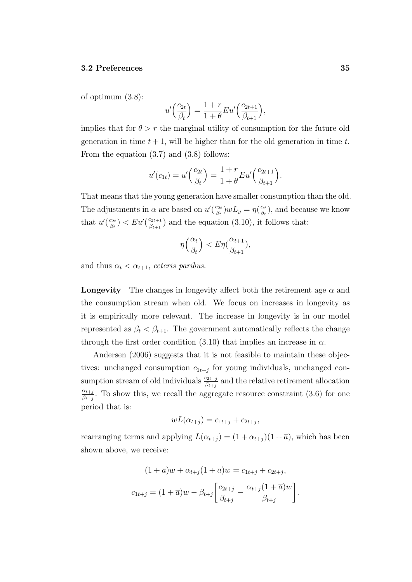of optimum (3.8):

$$
u'\left(\frac{c_{2t}}{\beta_t}\right) = \frac{1+r}{1+\theta} Eu'\left(\frac{c_{2t+1}}{\beta_{t+1}}\right),\,
$$

implies that for  $\theta > r$  the marginal utility of consumption for the future old generation in time  $t + 1$ , will be higher than for the old generation in time t. From the equation (3.7) and (3.8) follows:

$$
u'(c_{1t}) = u'\left(\frac{c_{2t}}{\beta_t}\right) = \frac{1+r}{1+\theta} Eu'\left(\frac{c_{2t+1}}{\beta_{t+1}}\right).
$$

That means that the young generation have smaller consumption than the old. The adjustments in  $\alpha$  are based on  $u'(\frac{c_{2t}}{3})$  $\frac{c_{2t}}{\beta_t}$ )  $wL_y = \eta(\frac{\alpha_t}{\beta_t}$  $\frac{\alpha_t}{\beta_t}$ ), and because we know that  $u'(\frac{c_{2t}}{3}$  $\frac{c_{2t}}{\beta_t}$ )  $<$   $Eu'(\frac{c_{2t+1}}{\beta_{t+1}})$  $\frac{c_{2t+1}}{\beta_{t+1}}$  and the equation (3.10), it follows that:

$$
\eta\left(\frac{\alpha_t}{\beta_t}\right) < E\eta\left(\frac{\alpha_{t+1}}{\beta_{t+1}}\right),
$$

and thus  $\alpha_t < \alpha_{t+1}$ , ceteris paribus.

**Longevity** The changes in longevity affect both the retirement age  $\alpha$  and the consumption stream when old. We focus on increases in longevity as it is empirically more relevant. The increase in longevity is in our model represented as  $\beta_t < \beta_{t+1}$ . The government automatically reflects the change through the first order condition (3.10) that implies an increase in  $\alpha$ .

Andersen (2006) suggests that it is not feasible to maintain these objectives: unchanged consumption  $c_{1t+j}$  for young individuals, unchanged consumption stream of old individuals  $\frac{c_{2t+j}}{\beta_{t+j}}$  and the relative retirement allocation  $\alpha_{t+j}$  $\frac{\alpha_{t+j}}{\beta_{t+j}}$ . To show this, we recall the aggregate resource constraint (3.6) for one period that is:

$$
wL(\alpha_{t+j}) = c_{1t+j} + c_{2t+j},
$$

rearranging terms and applying  $L(\alpha_{t+j}) = (1 + \alpha_{t+j})(1 + \overline{a})$ , which has been shown above, we receive:

$$
(1 + \overline{a})w + \alpha_{t+j}(1 + \overline{a})w = c_{1t+j} + c_{2t+j},
$$
  

$$
c_{1t+j} = (1 + \overline{a})w - \beta_{t+j} \left[ \frac{c_{2t+j}}{\beta_{t+j}} - \frac{\alpha_{t+j}(1 + \overline{a})w}{\beta_{t+j}} \right].
$$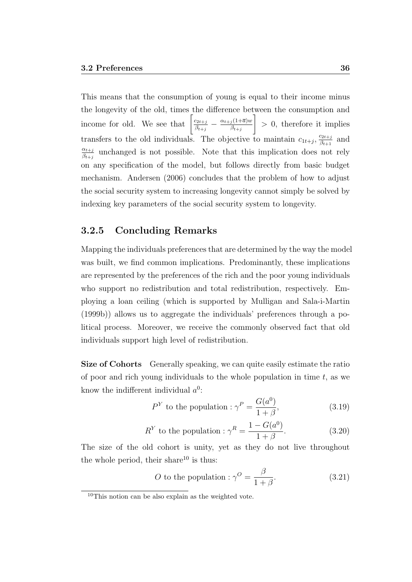This means that the consumption of young is equal to their income minus the longevity of the old, times the difference between the consumption and income for old. We see that  $\left[\frac{c_{2t+j}}{a_{2t+j}}\right]$  $\frac{c_{2t+j}}{\beta_{t+j}} - \frac{\alpha_{t+j}(1+\overline{a})w}{\beta_{t+j}}$  $\beta_{t+j}$ 1 > 0, therefore it implies transfers to the old individuals. The objective to maintain  $c_{1t+j}$ ,  $\frac{c_{2t+j}}{\beta_{t+1}}$  $\frac{c_{2t+j}}{\beta_{t+1}}$  and  $\alpha_{t+j}$  $\frac{\alpha_{t+j}}{\beta_{t+j}}$  unchanged is not possible. Note that this implication does not rely on any specification of the model, but follows directly from basic budget mechanism. Andersen (2006) concludes that the problem of how to adjust the social security system to increasing longevity cannot simply be solved by indexing key parameters of the social security system to longevity.

### 3.2.5 Concluding Remarks

Mapping the individuals preferences that are determined by the way the model was built, we find common implications. Predominantly, these implications are represented by the preferences of the rich and the poor young individuals who support no redistribution and total redistribution, respectively. Employing a loan ceiling (which is supported by Mulligan and Sala-i-Martin (1999b)) allows us to aggregate the individuals' preferences through a political process. Moreover, we receive the commonly observed fact that old individuals support high level of redistribution.

Size of Cohorts Generally speaking, we can quite easily estimate the ratio of poor and rich young individuals to the whole population in time  $t$ , as we know the indifferent individual  $a^0$ :

$$
P^{Y} \text{ to the population}: \gamma^{P} = \frac{G(a^{0})}{1+\beta}, \qquad (3.19)
$$

$$
R^{Y} \text{ to the population}: \gamma^{R} = \frac{1 - G(a^{0})}{1 + \beta}.
$$
 (3.20)

The size of the old cohort is unity, yet as they do not live throughout the whole period, their share $10$  is thus:

*O* to the population : 
$$
\gamma^O = \frac{\beta}{1+\beta}
$$
. (3.21)

 $10$ This notion can be also explain as the weighted vote.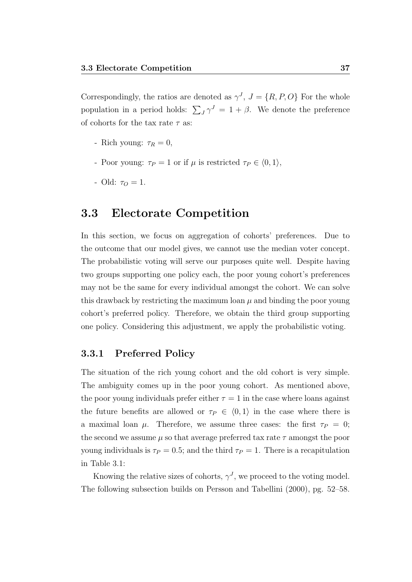Correspondingly, the ratios are denoted as  $\gamma^J$ ,  $J = \{R, P, O\}$  For the whole population in a period holds:  $\sum_{J} \gamma^{J} = 1 + \beta$ . We denote the preference of cohorts for the tax rate  $\tau$  as:

- Rich young:  $\tau_R = 0$ ,
- Poor young:  $\tau_P = 1$  or if  $\mu$  is restricted  $\tau_P \in \langle 0, 1 \rangle$ ,
- Old:  $\tau_O = 1$ .

### 3.3 Electorate Competition

In this section, we focus on aggregation of cohorts' preferences. Due to the outcome that our model gives, we cannot use the median voter concept. The probabilistic voting will serve our purposes quite well. Despite having two groups supporting one policy each, the poor young cohort's preferences may not be the same for every individual amongst the cohort. We can solve this drawback by restricting the maximum loan  $\mu$  and binding the poor young cohort's preferred policy. Therefore, we obtain the third group supporting one policy. Considering this adjustment, we apply the probabilistic voting.

### 3.3.1 Preferred Policy

The situation of the rich young cohort and the old cohort is very simple. The ambiguity comes up in the poor young cohort. As mentioned above, the poor young individuals prefer either  $\tau = 1$  in the case where loans against the future benefits are allowed or  $\tau_P \in \langle 0, 1 \rangle$  in the case where there is a maximal loan  $\mu$ . Therefore, we assume three cases: the first  $\tau_P = 0$ ; the second we assume  $\mu$  so that average preferred tax rate  $\tau$  amongst the poor young individuals is  $\tau_P = 0.5$ ; and the third  $\tau_P = 1$ . There is a recapitulation in Table 3.1:

Knowing the relative sizes of cohorts,  $\gamma^J$ , we proceed to the voting model. The following subsection builds on Persson and Tabellini (2000), pg. 52–58.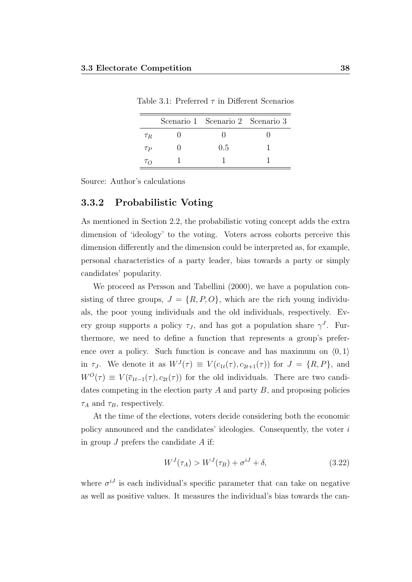|                 | Scenario 1 Scenario 2 Scenario 3 |  |
|-----------------|----------------------------------|--|
| $\tau_R$        |                                  |  |
| $\tau_P$        | 0.5                              |  |
| $\tau_{\Omega}$ |                                  |  |

Table 3.1: Preferred  $\tau$  in Different Scenarios

Source: Author's calculations

#### 3.3.2 Probabilistic Voting

As mentioned in Section 2.2, the probabilistic voting concept adds the extra dimension of 'ideology' to the voting. Voters across cohorts perceive this dimension differently and the dimension could be interpreted as, for example, personal characteristics of a party leader, bias towards a party or simply candidates' popularity.

We proceed as Persson and Tabellini (2000), we have a population consisting of three groups,  $J = \{R, P, O\}$ , which are the rich young individuals, the poor young individuals and the old individuals, respectively. Every group supports a policy  $\tau_J$ , and has got a population share  $\gamma^J$ . Furthermore, we need to define a function that represents a group's preference over a policy. Such function is concave and has maximum on  $(0, 1)$ in  $\tau_J$ . We denote it as  $W^J(\tau) \equiv V(c_{1t}(\tau), c_{2t+1}(\tau))$  for  $J = \{R, P\}$ , and  $W^{O}(\tau) \equiv V(\bar{c}_{1t-1}(\tau), c_{2t}(\tau))$  for the old individuals. There are two candidates competing in the election party  $A$  and party  $B$ , and proposing policies  $\tau_A$  and  $\tau_B$ , respectively.

At the time of the elections, voters decide considering both the economic policy announced and the candidates' ideologies. Consequently, the voter  $i$ in group  $J$  prefers the candidate  $A$  if:

$$
W^{J}(\tau_A) > W^{J}(\tau_B) + \sigma^{iJ} + \delta, \qquad (3.22)
$$

where  $\sigma^{i,j}$  is each individual's specific parameter that can take on negative as well as positive values. It measures the individual's bias towards the can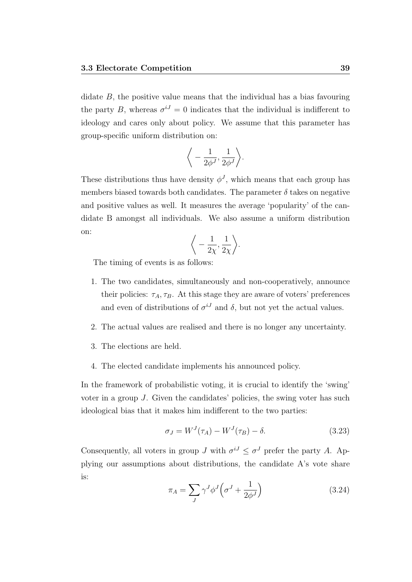didate  $B$ , the positive value means that the individual has a bias favouring the party B, whereas  $\sigma^{i,j} = 0$  indicates that the individual is indifferent to ideology and cares only about policy. We assume that this parameter has group-specific uniform distribution on:

$$
\bigg\langle -\frac{1}{2\phi^J}, \frac{1}{2\phi^J}\bigg\rangle.
$$

These distributions thus have density  $\phi^J$ , which means that each group has members biased towards both candidates. The parameter  $\delta$  takes on negative and positive values as well. It measures the average 'popularity' of the candidate B amongst all individuals. We also assume a uniform distribution on:

$$
\bigg\langle -\frac{1}{2\chi}, \frac{1}{2\chi} \bigg\rangle.
$$

The timing of events is as follows:

- 1. The two candidates, simultaneously and non-cooperatively, announce their policies:  $\tau_A, \tau_B$ . At this stage they are aware of voters' preferences and even of distributions of  $\sigma^{i,j}$  and  $\delta$ , but not yet the actual values.
- 2. The actual values are realised and there is no longer any uncertainty.
- 3. The elections are held.
- 4. The elected candidate implements his announced policy.

In the framework of probabilistic voting, it is crucial to identify the 'swing' voter in a group J. Given the candidates' policies, the swing voter has such ideological bias that it makes him indifferent to the two parties:

$$
\sigma_J = W^J(\tau_A) - W^J(\tau_B) - \delta. \tag{3.23}
$$

Consequently, all voters in group J with  $\sigma^{i,j} \leq \sigma^{j}$  prefer the party A. Applying our assumptions about distributions, the candidate A's vote share is:

$$
\pi_A = \sum_J \gamma^J \phi^J \left( \sigma^J + \frac{1}{2\phi^J} \right) \tag{3.24}
$$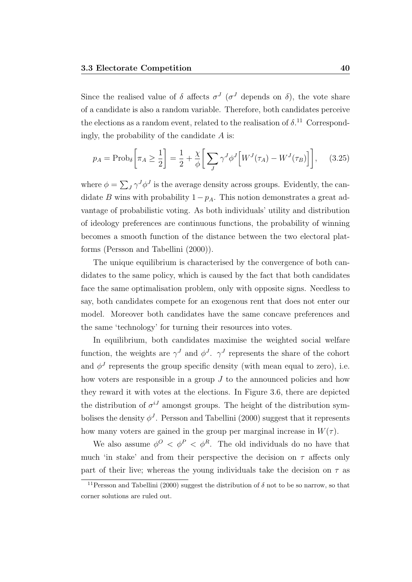Since the realised value of  $\delta$  affects  $\sigma^J$  ( $\sigma^J$  depends on  $\delta$ ), the vote share of a candidate is also a random variable. Therefore, both candidates perceive the elections as a random event, related to the realisation of  $\delta$ <sup>11</sup> Correspondingly, the probability of the candidate  $A$  is:

$$
p_A = \text{Prob}_{\delta} \left[ \pi_A \ge \frac{1}{2} \right] = \frac{1}{2} + \frac{\chi}{\phi} \left[ \sum_J \gamma^J \phi^J \left[ W^J(\tau_A) - W^J(\tau_B) \right] \right], \quad (3.25)
$$

where  $\phi = \sum_J \gamma^J \phi^J$  is the average density across groups. Evidently, the candidate B wins with probability  $1-p_A$ . This notion demonstrates a great advantage of probabilistic voting. As both individuals' utility and distribution of ideology preferences are continuous functions, the probability of winning becomes a smooth function of the distance between the two electoral platforms (Persson and Tabellini (2000)).

The unique equilibrium is characterised by the convergence of both candidates to the same policy, which is caused by the fact that both candidates face the same optimalisation problem, only with opposite signs. Needless to say, both candidates compete for an exogenous rent that does not enter our model. Moreover both candidates have the same concave preferences and the same 'technology' for turning their resources into votes.

In equilibrium, both candidates maximise the weighted social welfare function, the weights are  $\gamma^J$  and  $\phi^J$ .  $\gamma^J$  represents the share of the cohort and  $\phi^J$  represents the group specific density (with mean equal to zero), i.e. how voters are responsible in a group J to the announced policies and how they reward it with votes at the elections. In Figure 3.6, there are depicted the distribution of  $\sigma^{iJ}$  amongst groups. The height of the distribution symbolises the density  $\phi^J$ . Persson and Tabellini (2000) suggest that it represents how many voters are gained in the group per marginal increase in  $W(\tau)$ .

We also assume  $\phi^O$  <  $\phi^P$  <  $\phi^R$ . The old individuals do no have that much 'in stake' and from their perspective the decision on  $\tau$  affects only part of their live; whereas the young individuals take the decision on  $\tau$  as

<sup>&</sup>lt;sup>11</sup> Persson and Tabellini (2000) suggest the distribution of  $\delta$  not to be so narrow, so that corner solutions are ruled out.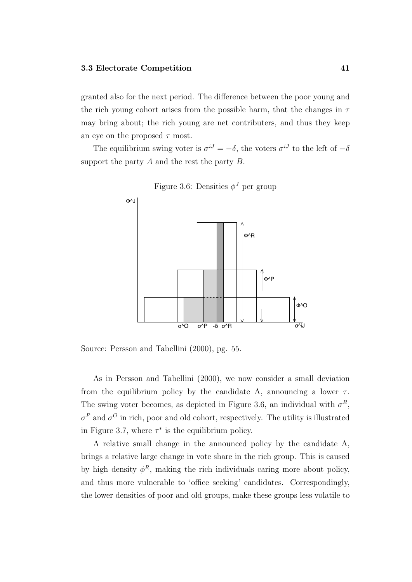granted also for the next period. The difference between the poor young and the rich young cohort arises from the possible harm, that the changes in  $\tau$ may bring about; the rich young are net contributers, and thus they keep an eye on the proposed  $\tau$  most.

The equilibrium swing voter is  $\sigma^{i,j} = -\delta$ , the voters  $\sigma^{i,j}$  to the left of  $-\delta$ support the party  $A$  and the rest the party  $B$ .



Figure 3.6: Densities  $\phi^J$  per group

Source: Persson and Tabellini (2000), pg. 55.

As in Persson and Tabellini (2000), we now consider a small deviation from the equilibrium policy by the candidate A, announcing a lower  $\tau$ . The swing voter becomes, as depicted in Figure 3.6, an individual with  $\sigma^R$ ,  $\sigma^P$  and  $\sigma^O$  in rich, poor and old cohort, respectively. The utility is illustrated in Figure 3.7, where  $\tau^*$  is the equilibrium policy.

A relative small change in the announced policy by the candidate A, brings a relative large change in vote share in the rich group. This is caused by high density  $\phi^R$ , making the rich individuals caring more about policy, and thus more vulnerable to 'office seeking' candidates. Correspondingly, the lower densities of poor and old groups, make these groups less volatile to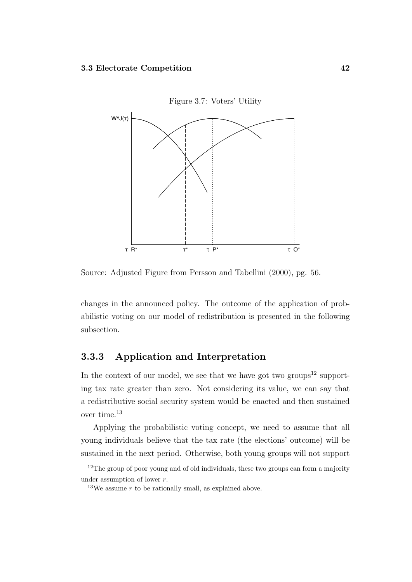

Source: Adjusted Figure from Persson and Tabellini (2000), pg. 56.

changes in the announced policy. The outcome of the application of probabilistic voting on our model of redistribution is presented in the following subsection.

### 3.3.3 Application and Interpretation

In the context of our model, we see that we have got two groups<sup>12</sup> supporting tax rate greater than zero. Not considering its value, we can say that a redistributive social security system would be enacted and then sustained over time.<sup>13</sup>

Applying the probabilistic voting concept, we need to assume that all young individuals believe that the tax rate (the elections' outcome) will be sustained in the next period. Otherwise, both young groups will not support

<sup>&</sup>lt;sup>12</sup>The group of poor young and of old individuals, these two groups can form a majority under assumption of lower r.

<sup>&</sup>lt;sup>13</sup>We assume  $r$  to be rationally small, as explained above.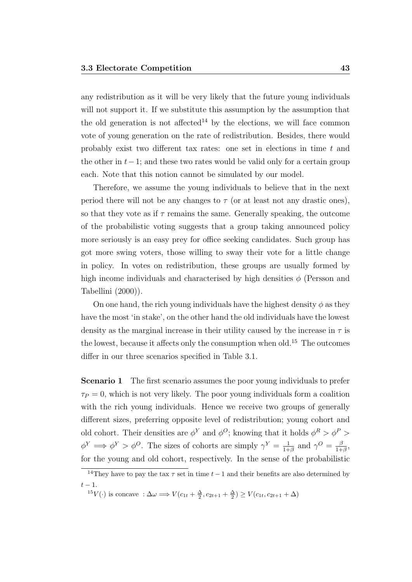any redistribution as it will be very likely that the future young individuals will not support it. If we substitute this assumption by the assumption that the old generation is not affected<sup>14</sup> by the elections, we will face common vote of young generation on the rate of redistribution. Besides, there would probably exist two different tax rates: one set in elections in time  $t$  and the other in  $t-1$ ; and these two rates would be valid only for a certain group each. Note that this notion cannot be simulated by our model.

Therefore, we assume the young individuals to believe that in the next period there will not be any changes to  $\tau$  (or at least not any drastic ones), so that they vote as if  $\tau$  remains the same. Generally speaking, the outcome of the probabilistic voting suggests that a group taking announced policy more seriously is an easy prey for office seeking candidates. Such group has got more swing voters, those willing to sway their vote for a little change in policy. In votes on redistribution, these groups are usually formed by high income individuals and characterised by high densities  $\phi$  (Persson and Tabellini (2000)).

On one hand, the rich young individuals have the highest density  $\phi$  as they have the most 'in stake', on the other hand the old individuals have the lowest density as the marginal increase in their utility caused by the increase in  $\tau$  is the lowest, because it affects only the consumption when old.<sup>15</sup> The outcomes differ in our three scenarios specified in Table 3.1.

**Scenario 1** The first scenario assumes the poor young individuals to prefer  $\tau_P = 0$ , which is not very likely. The poor young individuals form a coalition with the rich young individuals. Hence we receive two groups of generally different sizes, preferring opposite level of redistribution; young cohort and old cohort. Their densities are  $\phi^Y$  and  $\phi^O$ ; knowing that it holds  $\phi^R > \phi^P >$  $\phi^Y \implies \phi^Y > \phi^O$ . The sizes of cohorts are simply  $\gamma^Y = \frac{1}{1+\gamma}$  $\frac{1}{1+\beta}$  and  $\gamma^{O} = \frac{\beta}{1+\beta}$  $\frac{\beta}{1+\beta}$ for the young and old cohort, respectively. In the sense of the probabilistic

<sup>&</sup>lt;sup>14</sup>They have to pay the tax  $\tau$  set in time  $t-1$  and their benefits are also determined by  $t-1$ .

<sup>&</sup>lt;sup>15</sup>V(·) is concave :  $\Delta \omega \Longrightarrow V(c_{1t} + \frac{\Delta}{2}, c_{2t+1} + \frac{\Delta}{2}) \geq V(c_{1t}, c_{2t+1} + \Delta)$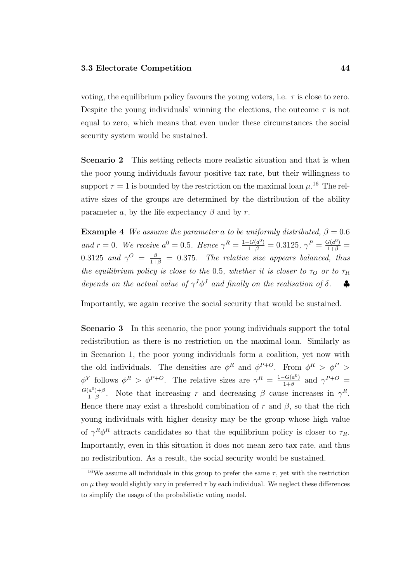voting, the equilibrium policy favours the young voters, i.e.  $\tau$  is close to zero. Despite the young individuals' winning the elections, the outcome  $\tau$  is not equal to zero, which means that even under these circumstances the social security system would be sustained.

**Scenario 2** This setting reflects more realistic situation and that is when the poor young individuals favour positive tax rate, but their willingness to support  $\tau = 1$  is bounded by the restriction on the maximal loan  $\mu$ .<sup>16</sup> The relative sizes of the groups are determined by the distribution of the ability parameter a, by the life expectancy  $\beta$  and by r.

**Example 4** We assume the parameter a to be uniformly distributed,  $\beta = 0.6$ and  $r = 0$ . We receive  $a^0 = 0.5$ . Hence  $\gamma^R = \frac{1 - G(a^0)}{1 + \beta} = 0.3125$ ,  $\gamma^P = \frac{G(a^0)}{1 + \beta} =$ 0.3125 and  $\gamma^O = \frac{\beta}{1+\beta} = 0.375$ . The relative size appears balanced, thus the equilibrium policy is close to the 0.5, whether it is closer to  $\tau_Q$  or to  $\tau_R$ depends on the actual value of  $\gamma^J \phi^J$  and finally on the realisation of  $\delta$ .

Importantly, we again receive the social security that would be sustained.

Scenario 3 In this scenario, the poor young individuals support the total redistribution as there is no restriction on the maximal loan. Similarly as in Scenarion 1, the poor young individuals form a coalition, yet now with the old individuals. The densities are  $\phi^R$  and  $\phi^{P+O}$ . From  $\phi^R > \phi^P >$  $\phi^Y$  follows  $\phi^R > \phi^{P+O}$ . The relative sizes are  $\gamma^R = \frac{1-G(a^0)}{1+\beta}$  $\frac{-G(a^0)}{1+\beta}$  and  $\gamma^{P+O}$  =  $G(a^0)+\beta$  $\frac{(a^0)^{1+\beta}}{1+\beta}$ . Note that increasing r and decreasing  $\beta$  cause increases in  $\gamma^R$ . Hence there may exist a threshold combination of r and  $\beta$ , so that the rich young individuals with higher density may be the group whose high value of  $\gamma^R \phi^R$  attracts candidates so that the equilibrium policy is closer to  $\tau_R$ . Importantly, even in this situation it does not mean zero tax rate, and thus no redistribution. As a result, the social security would be sustained.

<sup>&</sup>lt;sup>16</sup>We assume all individuals in this group to prefer the same  $\tau$ , yet with the restriction on  $\mu$  they would slightly vary in preferred  $\tau$  by each individual. We neglect these differences to simplify the usage of the probabilistic voting model.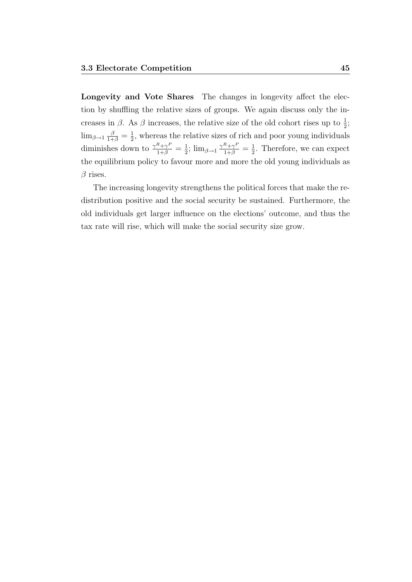Longevity and Vote Shares The changes in longevity affect the election by shuffling the relative sizes of groups. We again discuss only the increases in  $\beta$ . As  $\beta$  increases, the relative size of the old cohort rises up to  $\frac{1}{2}$ ;  $\lim_{\beta \to 1} \frac{\beta}{1+\beta} = \frac{1}{2}$  $\frac{1}{2}$ , whereas the relative sizes of rich and poor young individuals diminishes down to  $\frac{\gamma^R + \gamma^P}{1+\beta} = \frac{1}{2}$  $\frac{1}{2}$ ;  $\lim_{\beta \to 1} \frac{\gamma^R + \gamma^P}{1 + \beta} = \frac{1}{2}$  $\frac{1}{2}$ . Therefore, we can expect the equilibrium policy to favour more and more the old young individuals as  $\beta$  rises.

The increasing longevity strengthens the political forces that make the redistribution positive and the social security be sustained. Furthermore, the old individuals get larger influence on the elections' outcome, and thus the tax rate will rise, which will make the social security size grow.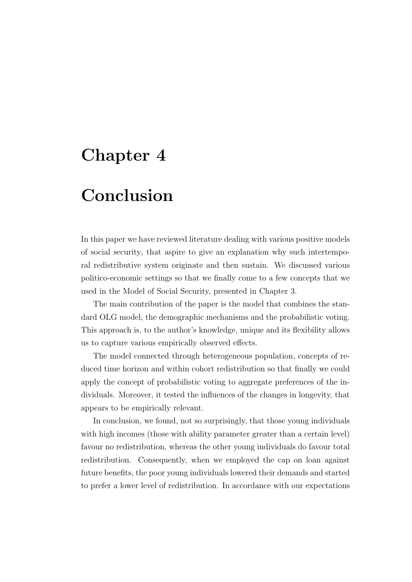## Chapter 4

## Conclusion

In this paper we have reviewed literature dealing with various positive models of social security, that aspire to give an explanation why such intertemporal redistributive system originate and then sustain. We discussed various politico-economic settings so that we finally come to a few concepts that we used in the Model of Social Security, presented in Chapter 3.

The main contribution of the paper is the model that combines the standard OLG model, the demographic mechanisms and the probabilistic voting. This approach is, to the author's knowledge, unique and its flexibility allows us to capture various empirically observed effects.

The model connected through heterogeneous population, concepts of reduced time horizon and within cohort redistribution so that finally we could apply the concept of probabilistic voting to aggregate preferences of the individuals. Moreover, it tested the influences of the changes in longevity, that appears to be empirically relevant.

In conclusion, we found, not so surprisingly, that those young individuals with high incomes (those with ability parameter greater than a certain level) favour no redistribution, whereas the other young individuals do favour total redistribution. Consequently, when we employed the cap on loan against future benefits, the poor young individuals lowered their demands and started to prefer a lower level of redistribution. In accordance with our expectations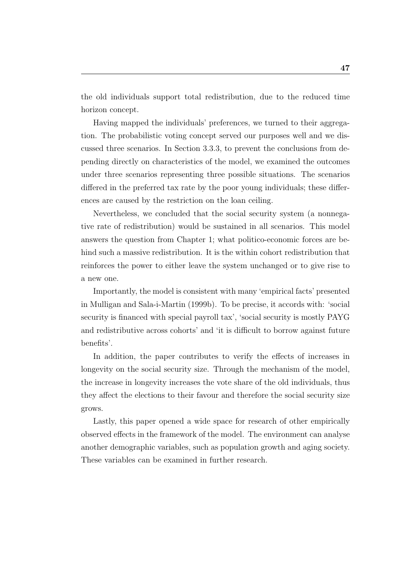the old individuals support total redistribution, due to the reduced time horizon concept.

Having mapped the individuals' preferences, we turned to their aggregation. The probabilistic voting concept served our purposes well and we discussed three scenarios. In Section 3.3.3, to prevent the conclusions from depending directly on characteristics of the model, we examined the outcomes under three scenarios representing three possible situations. The scenarios differed in the preferred tax rate by the poor young individuals; these differences are caused by the restriction on the loan ceiling.

Nevertheless, we concluded that the social security system (a nonnegative rate of redistribution) would be sustained in all scenarios. This model answers the question from Chapter 1; what politico-economic forces are behind such a massive redistribution. It is the within cohort redistribution that reinforces the power to either leave the system unchanged or to give rise to a new one.

Importantly, the model is consistent with many 'empirical facts' presented in Mulligan and Sala-i-Martin (1999b). To be precise, it accords with: 'social security is financed with special payroll tax', 'social security is mostly PAYG and redistributive across cohorts' and 'it is difficult to borrow against future benefits'.

In addition, the paper contributes to verify the effects of increases in longevity on the social security size. Through the mechanism of the model, the increase in longevity increases the vote share of the old individuals, thus they affect the elections to their favour and therefore the social security size grows.

Lastly, this paper opened a wide space for research of other empirically observed effects in the framework of the model. The environment can analyse another demographic variables, such as population growth and aging society. These variables can be examined in further research.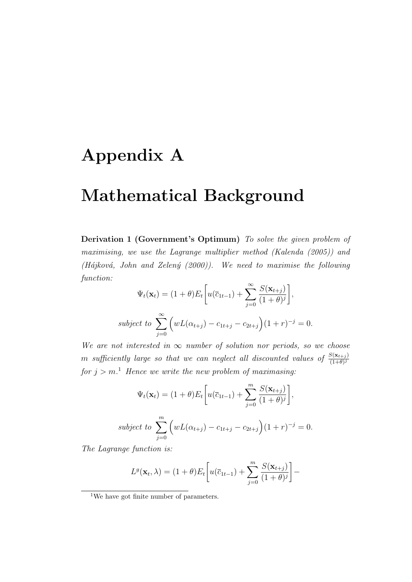# Appendix A

## Mathematical Background

Derivation 1 (Government's Optimum) To solve the given problem of maximising, we use the Lagrange multiplier method (Kalenda (2005)) and (Hájková, John and Zelený (2000)). We need to maximise the following function:

$$
\Psi_t(\mathbf{x}_t) = (1+\theta)E_t\bigg[u(\overline{c}_{1t-1}) + \sum_{j=0}^{\infty} \frac{S(\mathbf{x}_{t+j})}{(1+\theta)^j}\bigg],
$$
  
subject to 
$$
\sum_{j=0}^{\infty} \left(wL(\alpha_{t+j}) - c_{1t+j} - c_{2t+j}\right)(1+r)^{-j} = 0.
$$

We are not interested in  $\infty$  number of solution nor periods, so we choose m sufficiently large so that we can neglect all discounted values of  $\frac{S(\mathbf{x}_{t+j})}{(1+\theta)^j}$ for  $j > m$ .<sup>1</sup> Hence we write the new problem of maximasing:

$$
\Psi_t(\mathbf{x}_t) = (1+\theta)E_t\bigg[u(\overline{c}_{1t-1}) + \sum_{j=0}^m \frac{S(\mathbf{x}_{t+j})}{(1+\theta)^j}\bigg],
$$
  
subject to 
$$
\sum_{j=0}^m \left(wL(\alpha_{t+j}) - c_{1t+j} - c_{2t+j}\right)(1+r)^{-j} = 0.
$$

The Lagrange function is:

$$
L^{g}(\mathbf{x}_{t}, \lambda) = (1+\theta)E_{t}\left[u(\overline{c}_{1t-1}) + \sum_{j=0}^{m} \frac{S(\mathbf{x}_{t+j})}{(1+\theta)^{j}}\right] -
$$

<sup>&</sup>lt;sup>1</sup>We have got finite number of parameters.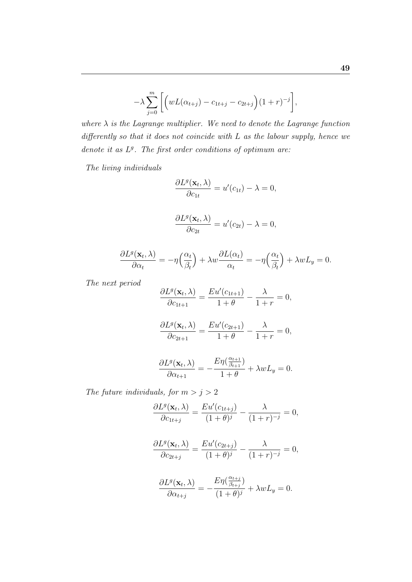$$
-\lambda \sum_{j=0}^{m} \left[ \left( wL(\alpha_{t+j}) - c_{1t+j} - c_{2t+j} \right) (1+r)^{-j} \right],
$$

where  $\lambda$  is the Lagrange multiplier. We need to denote the Lagrange function differently so that it does not coincide with L as the labour supply, hence we denote it as  $L<sup>g</sup>$ . The first order conditions of optimum are:

The living individuals

$$
\frac{\partial L^g(\mathbf{x}_t, \lambda)}{\partial c_{1t}} = u'(c_{1t}) - \lambda = 0,
$$

$$
\frac{\partial L^g(\mathbf{x}_t, \lambda)}{\partial c_{2t}} = u'(c_{2t}) - \lambda = 0,
$$

$$
\frac{\partial L^g(\mathbf{x}_t, \lambda)}{\partial \alpha_t} = -\eta \left(\frac{\alpha_t}{\beta_t}\right) + \lambda w \frac{\partial L(\alpha_t)}{\alpha_t} = -\eta \left(\frac{\alpha_t}{\beta_t}\right) + \lambda w L_y = 0.
$$

The next period

$$
\frac{\partial L^g(\mathbf{x}_t, \lambda)}{\partial c_{1t+1}} = \frac{Eu'(c_{1t+1})}{1+\theta} - \frac{\lambda}{1+r} = 0,
$$

$$
\frac{\partial L^g(\mathbf{x}_t, \lambda)}{\partial c_{2t+1}} = \frac{E u'(c_{2t+1})}{1+\theta} - \frac{\lambda}{1+r} = 0,
$$

$$
\frac{\partial L^g(\mathbf{x}_t, \lambda)}{\partial \alpha_{t+1}} = -\frac{E\eta(\frac{\alpha_{t+1}}{\beta_{t+1}})}{1+\theta} + \lambda w L_y = 0.
$$

The future individuals, for  $m > j > 2$ 

$$
\frac{\partial L^g(\mathbf{x}_t, \lambda)}{\partial c_{1t+j}} = \frac{Eu'(c_{1t+j})}{(1+\theta)^j} - \frac{\lambda}{(1+r)^{-j}} = 0,
$$

$$
\frac{\partial L^g(\mathbf{x}_t, \lambda)}{\partial c_{2t+j}} = \frac{Eu'(c_{2t+j})}{(1+\theta)^j} - \frac{\lambda}{(1+r)^{-j}} = 0,
$$

$$
\frac{\partial L^g(\mathbf{x}_t, \lambda)}{\partial \alpha_{t+j}} = -\frac{E\eta(\frac{\alpha_{t+j}}{\beta_{t+j}})}{(1+\theta)^j} + \lambda w L_y = 0.
$$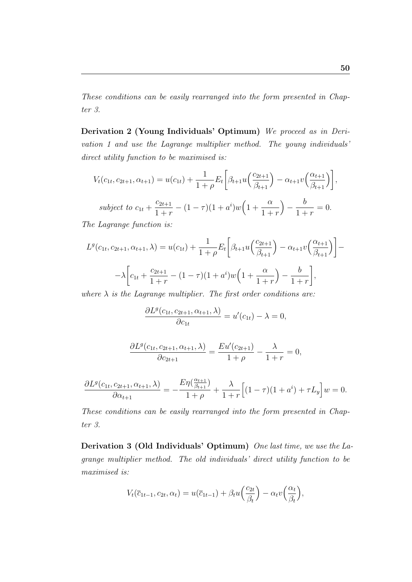These conditions can be easily rearranged into the form presented in Chapter 3.

Derivation 2 (Young Individuals' Optimum) We proceed as in Derivation 1 and use the Lagrange multiplier method. The young individuals' direct utility function to be maximised is:

$$
V_t(c_{1t}, c_{2t+1}, \alpha_{t+1}) = u(c_{1t}) + \frac{1}{1+\rho} E_t \left[ \beta_{t+1} u \left( \frac{c_{2t+1}}{\beta_{t+1}} \right) - \alpha_{t+1} v \left( \frac{\alpha_{t+1}}{\beta_{t+1}} \right) \right],
$$
  
subject to  $c_{1t} + \frac{c_{2t+1}}{1+r} - (1-\tau)(1+a^i)w \left(1 + \frac{\alpha}{1+r}\right) - \frac{b}{1+r} = 0.$ 

The Lagrange function is:

$$
L^{g}(c_{1t}, c_{2t+1}, \alpha_{t+1}, \lambda) = u(c_{1t}) + \frac{1}{1+\rho} E_{t} \left[ \beta_{t+1} u \left( \frac{c_{2t+1}}{\beta_{t+1}} \right) - \alpha_{t+1} v \left( \frac{\alpha_{t+1}}{\beta_{t+1}} \right) \right] - \lambda \left[ c_{1t} + \frac{c_{2t+1}}{1+r} - (1-\tau)(1+a^{i})w \left( 1 + \frac{\alpha}{1+r} \right) - \frac{b}{1+r} \right],
$$

where  $\lambda$  is the Lagrange multiplier. The first order conditions are:

$$
\frac{\partial L^g(c_{1t}, c_{2t+1}, \alpha_{t+1}, \lambda)}{\partial c_{1t}} = u'(c_{1t}) - \lambda = 0,
$$

$$
\frac{\partial L^g(c_{1t}, c_{2t+1}, \alpha_{t+1}, \lambda)}{\partial c_{2t+1}} = \frac{Eu'(c_{2t+1})}{1+\rho} - \frac{\lambda}{1+r} = 0,
$$

$$
\frac{\partial L^g(c_{1t}, c_{2t+1}, \alpha_{t+1}, \lambda)}{\partial \alpha_{t+1}} = -\frac{E\eta(\frac{\alpha_{t+1}}{\beta_{t+1}})}{1+\rho} + \frac{\lambda}{1+r} \Big[ (1-\tau)(1+a^i) + \tau L_y \Big] w = 0.
$$

These conditions can be easily rearranged into the form presented in Chapter 3.

Derivation 3 (Old Individuals' Optimum) One last time, we use the Lagrange multiplier method. The old individuals' direct utility function to be maximised is:

$$
V_t(\overline{c}_{1t-1}, c_{2t}, \alpha_t) = u(\overline{c}_{1t-1}) + \beta_t u\left(\frac{c_{2t}}{\beta_t}\right) - \alpha_t v\left(\frac{\alpha_t}{\beta_t}\right),
$$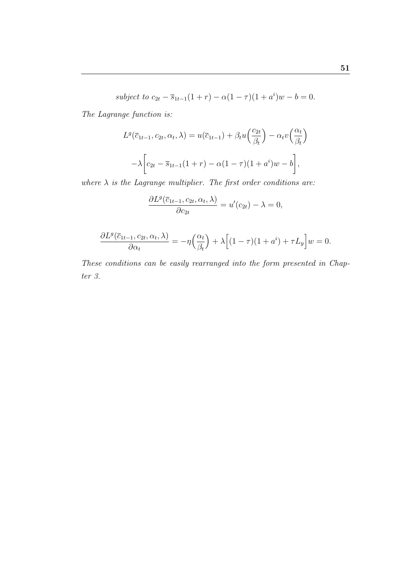subject to 
$$
c_{2t} - \overline{s}_{1t-1}(1+r) - \alpha(1-\tau)(1+a^i)w - b = 0.
$$

The Lagrange function is:

$$
L^g(\overline{c}_{1t-1}, c_{2t}, \alpha_t, \lambda) = u(\overline{c}_{1t-1}) + \beta_t u\left(\frac{c_{2t}}{\beta_t}\right) - \alpha_t v\left(\frac{\alpha_t}{\beta_t}\right)
$$

$$
-\lambda \left[c_{2t} - \overline{s}_{1t-1}(1+r) - \alpha(1-\tau)(1+a^i)w - b\right],
$$

where  $\lambda$  is the Lagrange multiplier. The first order conditions are:

$$
\frac{\partial L^g(\overline{c}_{1t-1}, c_{2t}, \alpha_t, \lambda)}{\partial c_{2t}} = u'(c_{2t}) - \lambda = 0,
$$

$$
\frac{\partial L^g(\overline{c}_{1t-1}, c_{2t}, \alpha_t, \lambda)}{\partial \alpha_t} = -\eta \left(\frac{\alpha_t}{\beta_t}\right) + \lambda \left[ (1-\tau)(1+a^i) + \tau L_y \right] w = 0.
$$

These conditions can be easily rearranged into the form presented in Chapter 3.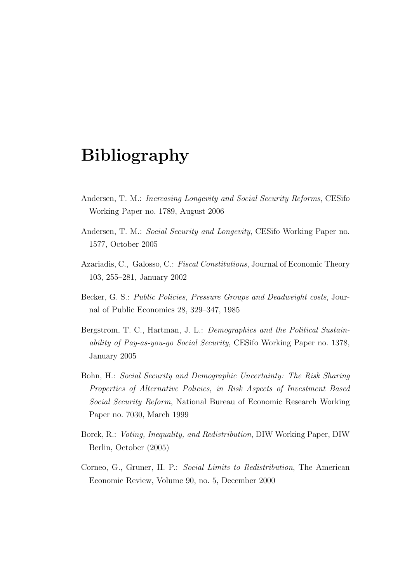## Bibliography

- Andersen, T. M.: Increasing Longevity and Social Security Reforms, CESifo Working Paper no. 1789, August 2006
- Andersen, T. M.: Social Security and Longevity, CESifo Working Paper no. 1577, October 2005
- Azariadis, C., Galosso, C.: Fiscal Constitutions, Journal of Economic Theory 103, 255–281, January 2002
- Becker, G. S.: Public Policies, Pressure Groups and Deadweight costs, Journal of Public Economics 28, 329–347, 1985
- Bergstrom, T. C., Hartman, J. L.: Demographics and the Political Sustainability of Pay-as-you-go Social Security, CESifo Working Paper no. 1378, January 2005
- Bohn, H.: Social Security and Demographic Uncertainty: The Risk Sharing Properties of Alternative Policies, in Risk Aspects of Investment Based Social Security Reform, National Bureau of Economic Research Working Paper no. 7030, March 1999
- Borck, R.: Voting, Inequality, and Redistribution, DIW Working Paper, DIW Berlin, October (2005)
- Corneo, G., Gruner, H. P.: Social Limits to Redistribution, The American Economic Review, Volume 90, no. 5, December 2000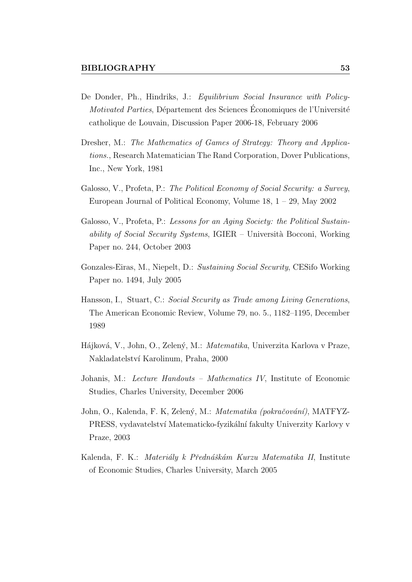- De Donder, Ph., Hindriks, J.: Equilibrium Social Insurance with Policy-Motivated Parties, Département des Sciences Économiques de l'Université catholique de Louvain, Discussion Paper 2006-18, February 2006
- Dresher, M.: The Mathematics of Games of Strategy: Theory and Applications., Research Matematician The Rand Corporation, Dover Publications, Inc., New York, 1981
- Galosso, V., Profeta, P.: The Political Economy of Social Security: a Survey, European Journal of Political Economy, Volume 18, 1 – 29, May 2002
- Galosso, V., Profeta, P.: Lessons for an Aging Society: the Political Sustainability of Social Security Systems,  $IGIER - University$  Bocconi, Working Paper no. 244, October 2003
- Gonzales-Eiras, M., Niepelt, D.: Sustaining Social Security, CESifo Working Paper no. 1494, July 2005
- Hansson, I., Stuart, C.: Social Security as Trade among Living Generations, The American Economic Review, Volume 79, no. 5., 1182–1195, December 1989
- Hájková, V., John, O., Zelený, M.: Matematika, Univerzita Karlova v Praze, Nakladatelství Karolinum, Praha, 2000
- Johanis, M.: Lecture Handouts Mathematics IV, Institute of Economic Studies, Charles University, December 2006
- John, O., Kalenda, F. K, Zelený, M.: Matematika (pokračování), MATFYZ-PRESS, vydavatelství Matematicko-fyzikální fakulty Univerzity Karlovy v Praze, 2003
- Kalenda, F. K.: Materiály k Přednáškám Kurzu Matematika II, Institute of Economic Studies, Charles University, March 2005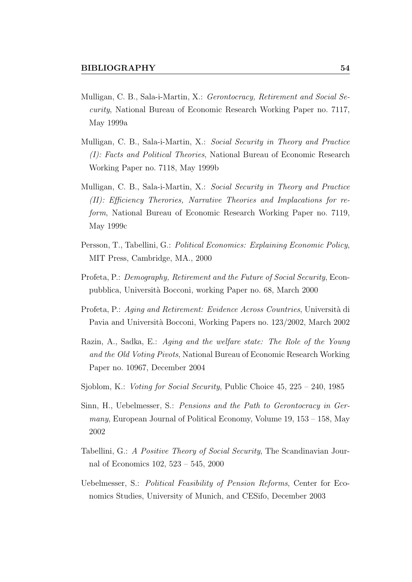- Mulligan, C. B., Sala-i-Martin, X.: Gerontocracy, Retirement and Social Security, National Bureau of Economic Research Working Paper no. 7117, May 1999a
- Mulligan, C. B., Sala-i-Martin, X.: Social Security in Theory and Practice (I): Facts and Political Theories, National Bureau of Economic Research Working Paper no. 7118, May 1999b
- Mulligan, C. B., Sala-i-Martin, X.: Social Security in Theory and Practice (II): Efficiency Therories, Narrative Theories and Implacations for reform, National Bureau of Economic Research Working Paper no. 7119, May 1999c
- Persson, T., Tabellini, G.: Political Economics: Explaining Economic Policy, MIT Press, Cambridge, MA., 2000
- Profeta, P.: Demography, Retirement and the Future of Social Security, Econpubblica, Universit`a Bocconi, working Paper no. 68, March 2000
- Profeta, P.: Aging and Retirement: Evidence Across Countries, Università di Pavia and Università Bocconi, Working Papers no. 123/2002, March 2002
- Razin, A., Sadka, E.: Aging and the welfare state: The Role of the Young and the Old Voting Pivots, National Bureau of Economic Research Working Paper no. 10967, December 2004
- Sjoblom, K.: *Voting for Social Security*, Public Choice 45, 225 240, 1985
- Sinn, H., Uebelmesser, S.: Pensions and the Path to Gerontocracy in Germany, European Journal of Political Economy, Volume 19, 153 – 158, May 2002
- Tabellini, G.: A Positive Theory of Social Security, The Scandinavian Journal of Economics 102, 523 – 545, 2000
- Uebelmesser, S.: Political Feasibility of Pension Reforms, Center for Economics Studies, University of Munich, and CESifo, December 2003